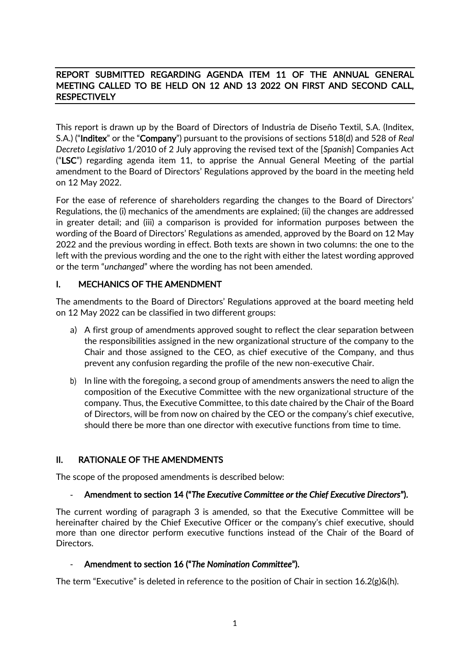## REPORT SUBMITTED REGARDING AGENDA ITEM 11 OF THE ANNUAL GENERAL MEETING CALLED TO BE HELD ON 12 AND 13 2022 ON FIRST AND SECOND CALL, **RESPECTIVELY**

This report is drawn up by the Board of Directors of Industria de Diseño Textil, S.A. (Inditex, S.A.) ("Inditex" or the "Company") pursuant to the provisions of sections 518(d) and 528 of *Real Decreto Legislativo* 1/2010 of 2 July approving the revised text of the [*Spanish*] Companies Act ("LSC") regarding agenda item 11, to apprise the Annual General Meeting of the partial amendment to the Board of Directors' Regulations approved by the board in the meeting held on 12 May 2022.

For the ease of reference of shareholders regarding the changes to the Board of Directors' Regulations, the (i) mechanics of the amendments are explained; (ii) the changes are addressed in greater detail; and (iii) a comparison is provided for information purposes between the wording of the Board of Directors' Regulations as amended, approved by the Board on 12 May 2022 and the previous wording in effect. Both texts are shown in two columns: the one to the left with the previous wording and the one to the right with either the latest wording approved or the term "*unchanged*" where the wording has not been amended.

## I. MECHANICS OF THE AMENDMENT

The amendments to the Board of Directors' Regulations approved at the board meeting held on 12 May 2022 can be classified in two different groups:

- a) A first group of amendments approved sought to reflect the clear separation between the responsibilities assigned in the new organizational structure of the company to the Chair and those assigned to the CEO, as chief executive of the Company, and thus prevent any confusion regarding the profile of the new non-executive Chair.
- b) In line with the foregoing, a second group of amendments answers the need to align the composition of the Executive Committee with the new organizational structure of the company. Thus, the Executive Committee, to this date chaired by the Chair of the Board of Directors, will be from now on chaired by the CEO or the company's chief executive, should there be more than one director with executive functions from time to time.

## II. RATIONALE OF THE AMENDMENTS

The scope of the proposed amendments is described below:

## - Amendment to section 14 ("*The Executive Committee or the Chief Executive Directors*").

The current wording of paragraph 3 is amended, so that the Executive Committee will be hereinafter chaired by the Chief Executive Officer or the company's chief executive, should more than one director perform executive functions instead of the Chair of the Board of Directors.

## - Amendment to section 16 ("*The Nomination Committee*").

The term "Executive" is deleted in reference to the position of Chair in section  $16.2(g) \& (h)$ .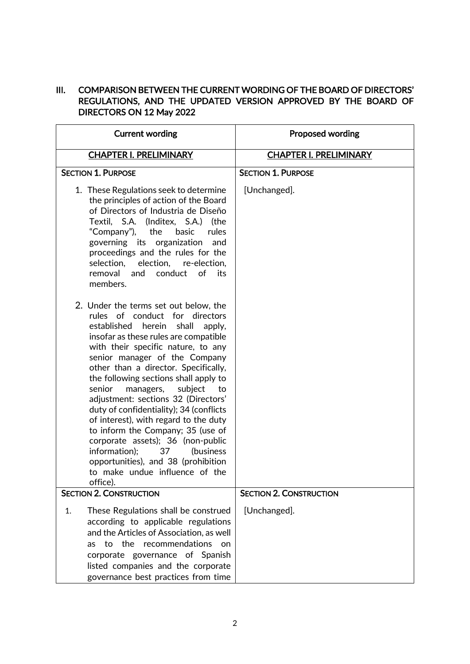## III. COMPARISON BETWEEN THE CURRENT WORDING OF THE BOARD OF DIRECTORS' REGULATIONS, AND THE UPDATED VERSION APPROVED BY THE BOARD OF DIRECTORS ON 12 May 2022

| <b>Current wording</b>                                                                                                                                                                                                                                                                                                                                                                                                                                                                                                                                                                                                                                                                   | <b>Proposed wording</b>        |
|------------------------------------------------------------------------------------------------------------------------------------------------------------------------------------------------------------------------------------------------------------------------------------------------------------------------------------------------------------------------------------------------------------------------------------------------------------------------------------------------------------------------------------------------------------------------------------------------------------------------------------------------------------------------------------------|--------------------------------|
| <b>CHAPTER I. PRELIMINARY</b>                                                                                                                                                                                                                                                                                                                                                                                                                                                                                                                                                                                                                                                            | <b>CHAPTER I. PRELIMINARY</b>  |
| <b>SECTION 1. PURPOSE</b>                                                                                                                                                                                                                                                                                                                                                                                                                                                                                                                                                                                                                                                                | <b>SECTION 1. PURPOSE</b>      |
| 1. These Regulations seek to determine<br>the principles of action of the Board<br>of Directors of Industria de Diseño<br>Textil, S.A. (Inditex, S.A.) (the<br>"Company"),<br>the<br>basic<br>rules<br>governing its organization<br>and<br>proceedings and the rules for the<br>selection,<br>election, re-election,<br>conduct<br>of<br>removal<br>and<br>its<br>members.                                                                                                                                                                                                                                                                                                              | [Unchanged].                   |
| 2. Under the terms set out below, the<br>rules of conduct for directors<br>established herein<br>shall<br>apply,<br>insofar as these rules are compatible<br>with their specific nature, to any<br>senior manager of the Company<br>other than a director. Specifically,<br>the following sections shall apply to<br>senior<br>managers,<br>subject<br>to<br>adjustment: sections 32 (Directors'<br>duty of confidentiality); 34 (conflicts<br>of interest), with regard to the duty<br>to inform the Company; 35 (use of<br>corporate assets); 36 (non-public<br>information);<br>37<br>(business)<br>opportunities), and 38 (prohibition<br>to make undue influence of the<br>office). |                                |
| <b>SECTION 2. CONSTRUCTION</b>                                                                                                                                                                                                                                                                                                                                                                                                                                                                                                                                                                                                                                                           | <b>SECTION 2. CONSTRUCTION</b> |
| 1.<br>These Regulations shall be construed<br>according to applicable regulations<br>and the Articles of Association, as well<br>the<br>recommendations<br>to<br><b>as</b><br><sub>on</sub><br>corporate governance of Spanish<br>listed companies and the corporate<br>governance best practices from time                                                                                                                                                                                                                                                                                                                                                                              | [Unchanged].                   |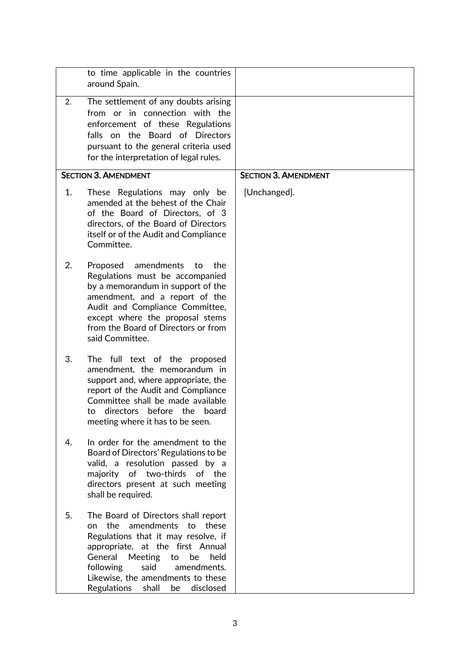|    | to time applicable in the countries<br>around Spain.                                                                                                                                                                                                                                                                          |                             |
|----|-------------------------------------------------------------------------------------------------------------------------------------------------------------------------------------------------------------------------------------------------------------------------------------------------------------------------------|-----------------------------|
| 2. | The settlement of any doubts arising<br>from or in connection with the<br>enforcement of these Regulations<br>falls on the Board of Directors<br>pursuant to the general criteria used<br>for the interpretation of legal rules.                                                                                              |                             |
|    | <b>SECTION 3. AMENDMENT</b>                                                                                                                                                                                                                                                                                                   | <b>SECTION 3. AMENDMENT</b> |
| 1. | These Regulations may only be<br>amended at the behest of the Chair<br>of the Board of Directors, of 3<br>directors, of the Board of Directors<br>itself or of the Audit and Compliance<br>Committee.                                                                                                                         | [Unchanged].                |
| 2. | Proposed<br>amendments<br>to<br>the<br>Regulations must be accompanied<br>by a memorandum in support of the<br>amendment, and a report of the<br>Audit and Compliance Committee,<br>except where the proposal stems<br>from the Board of Directors or from<br>said Committee.                                                 |                             |
| 3. | The full text of the proposed<br>amendment, the memorandum in<br>support and, where appropriate, the<br>report of the Audit and Compliance<br>Committee shall be made available<br>directors before the board<br>to<br>meeting where it has to be seen.                                                                       |                             |
| 4. | In order for the amendment to the<br>Board of Directors' Regulations to be<br>valid, a resolution passed by a<br>of two-thirds of the<br>majority<br>directors present at such meeting<br>shall be required.                                                                                                                  |                             |
| 5. | The Board of Directors shall report<br>amendments<br>the<br>to<br>these<br>on<br>Regulations that it may resolve, if<br>appropriate, at the first Annual<br>General<br><b>Meeting</b><br>to<br>be<br>held<br>following<br>said<br>amendments.<br>Likewise, the amendments to these<br>Regulations<br>shall<br>disclosed<br>be |                             |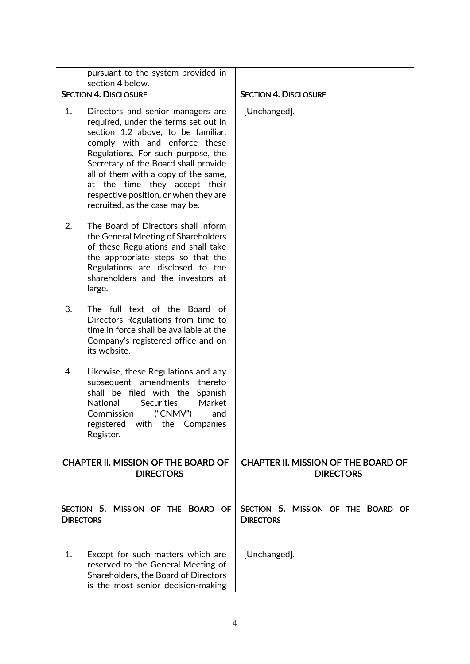|                  | pursuant to the system provided in<br>section 4 below.                                                                                                                                                                                                                                                                                                                             |                                                         |
|------------------|------------------------------------------------------------------------------------------------------------------------------------------------------------------------------------------------------------------------------------------------------------------------------------------------------------------------------------------------------------------------------------|---------------------------------------------------------|
|                  | <b>SECTION 4. DISCLOSURE</b>                                                                                                                                                                                                                                                                                                                                                       | <b>SECTION 4. DISCLOSURE</b>                            |
| 1.               | Directors and senior managers are<br>required, under the terms set out in<br>section 1.2 above, to be familiar,<br>comply with and enforce these<br>Regulations. For such purpose, the<br>Secretary of the Board shall provide<br>all of them with a copy of the same,<br>at the time they accept their<br>respective position, or when they are<br>recruited, as the case may be. | [Unchanged].                                            |
| 2.               | The Board of Directors shall inform<br>the General Meeting of Shareholders<br>of these Regulations and shall take<br>the appropriate steps so that the<br>Regulations are disclosed to the<br>shareholders and the investors at<br>large.                                                                                                                                          |                                                         |
| 3.               | The full text of the Board of<br>Directors Regulations from time to<br>time in force shall be available at the<br>Company's registered office and on<br>its website.                                                                                                                                                                                                               |                                                         |
| 4.               | Likewise, these Regulations and any<br>subsequent amendments<br>thereto<br>shall be filed with the<br>Spanish<br>National<br><b>Securities</b><br>Market<br>("CNMV")<br>Commission<br>and<br>registered with the Companies<br>Register.                                                                                                                                            |                                                         |
|                  | CHAPTER II. MISSION OF THE BOARD OF<br><b>DIRECTORS</b>                                                                                                                                                                                                                                                                                                                            | CHAPTER II. MISSION OF THE BOARD OF<br><b>DIRECTORS</b> |
| <b>DIRECTORS</b> | SECTION 5. MISSION OF THE BOARD OF                                                                                                                                                                                                                                                                                                                                                 | SECTION 5. MISSION OF THE BOARD OF<br><b>DIRECTORS</b>  |
| 1.               | Except for such matters which are<br>reserved to the General Meeting of<br>Shareholders, the Board of Directors<br>is the most senior decision-making                                                                                                                                                                                                                              | [Unchanged].                                            |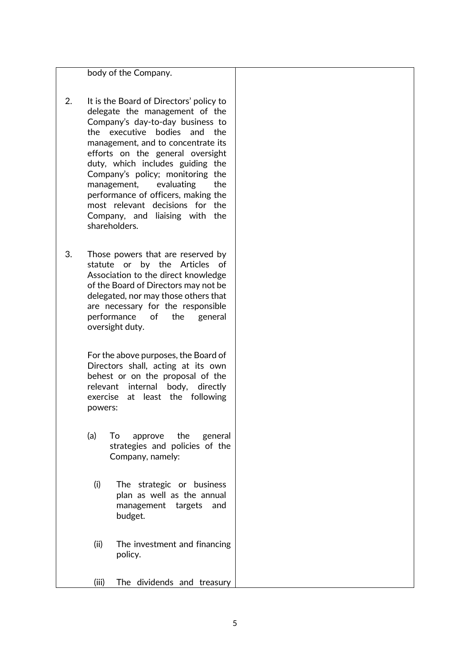body of the Company.

- 2. It is the Board of Directors' policy to delegate the management of the Company's day-to-day business to the executive bodies and the management, and to concentrate its efforts on the general oversight duty, which includes guiding the Company's policy; monitoring the management, evaluating the performance of officers, making the most relevant decisions for the Company, and liaising with the shareholders.
- 3. Those powers that are reserved by statute or by the Articles of Association to the direct knowledge of the Board of Directors may not be delegated, nor may those others that are necessary for the responsible performance of the general oversight duty.

For the above purposes, the Board of Directors shall, acting at its own behest or on the proposal of the relevant internal body, directly exercise at least the following powers:

- (a) To approve the general strategies and policies of the Company, namely:
	- (i) The strategic or business plan as well as the annual management targets and budget.
	- (ii) The investment and financing policy.
	- (iii) The dividends and treasury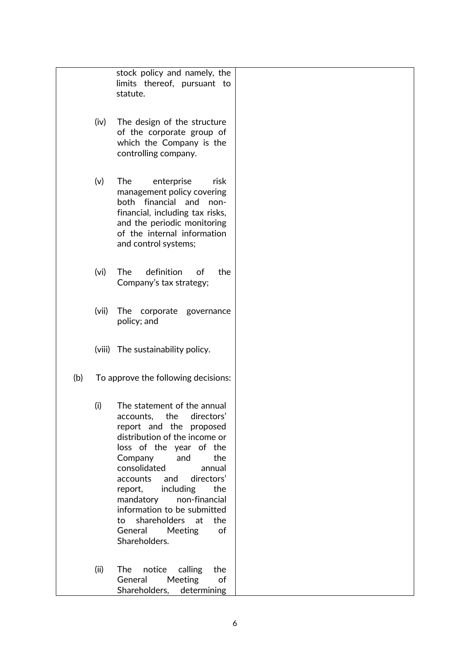|     |                   | stock policy and namely, the<br>limits thereof, pursuant to<br>statute.                                                                                                                                                                                                                                                                                                                                     |  |
|-----|-------------------|-------------------------------------------------------------------------------------------------------------------------------------------------------------------------------------------------------------------------------------------------------------------------------------------------------------------------------------------------------------------------------------------------------------|--|
|     | (iv)              | The design of the structure<br>of the corporate group of<br>which the Company is the<br>controlling company.                                                                                                                                                                                                                                                                                                |  |
|     | (v)               | The<br>enterprise<br>risk<br>management policy covering<br>both financial and<br>non-<br>financial, including tax risks,<br>and the periodic monitoring<br>of the internal information<br>and control systems;                                                                                                                                                                                              |  |
|     | (v <sub>i</sub> ) | definition<br>The<br>the<br>of<br>Company's tax strategy;                                                                                                                                                                                                                                                                                                                                                   |  |
|     | (vii)             | The corporate governance<br>policy; and                                                                                                                                                                                                                                                                                                                                                                     |  |
|     |                   | (viii) The sustainability policy.                                                                                                                                                                                                                                                                                                                                                                           |  |
| (b) |                   | To approve the following decisions:                                                                                                                                                                                                                                                                                                                                                                         |  |
|     | (i)               | The statement of the annual<br>accounts, the directors'<br>report and the proposed<br>distribution of the income or<br>loss of the year of the<br>and<br>the<br>Company<br>consolidated<br>annual<br>directors'<br>accounts<br>and<br>including<br>the<br>report,<br>mandatory<br>non-financial<br>information to be submitted<br>shareholders at<br>the<br>to<br>General<br>Meeting<br>of<br>Shareholders. |  |
|     | (ii)              | notice<br>calling<br>the<br><b>The</b><br>Meeting<br>General<br>of<br>Shareholders, determining                                                                                                                                                                                                                                                                                                             |  |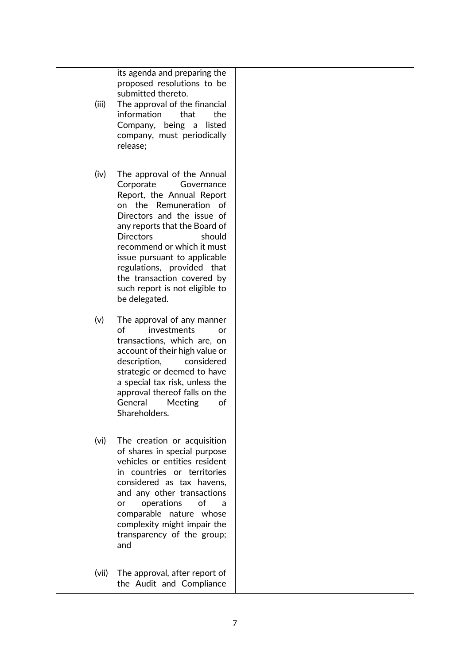its agenda and preparing the proposed resolutions to be submitted thereto.

- (iii) The approval of the financial information that the Company, being a listed company, must periodically release;
- (iv) The approval of the Annual Corporate Governance Report, the Annual Report on the Remuneration of Directors and the issue of any reports that the Board of Directors should recommend or which it must issue pursuant to applicable regulations, provided that the transaction covered by such report is not eligible to be delegated.
- (v) The approval of any manner of investments or transactions, which are, on account of their high value or description, considered strategic or deemed to have a special tax risk, unless the approval thereof falls on the General Meeting of Shareholders.
- (vi) The creation or acquisition of shares in special purpose vehicles or entities resident in countries or territories considered as tax havens, and any other transactions or operations of a comparable nature whose complexity might impair the transparency of the group; and
- (vii) The approval, after report of the Audit and Compliance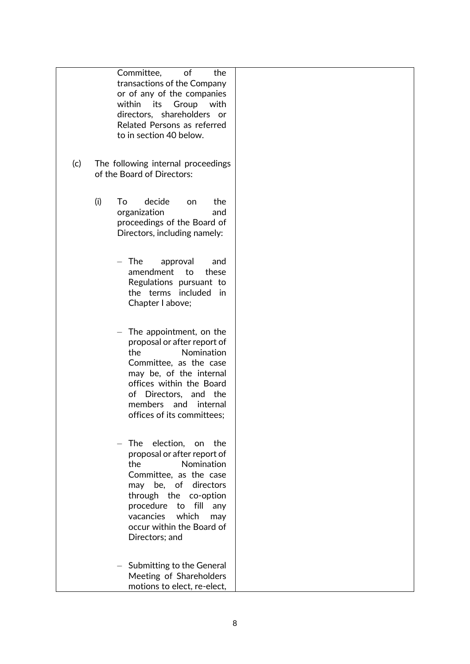|     | of<br>Committee,<br>the<br>transactions of the Company<br>or of any of the companies<br>within<br>its<br>Group<br>with<br>directors, shareholders or<br>Related Persons as referred<br>to in section 40 below.                                                                             |  |
|-----|--------------------------------------------------------------------------------------------------------------------------------------------------------------------------------------------------------------------------------------------------------------------------------------------|--|
| (c) | The following internal proceedings<br>of the Board of Directors:                                                                                                                                                                                                                           |  |
|     | (i)<br>To<br>decide<br>the<br>on<br>organization<br>and<br>proceedings of the Board of<br>Directors, including namely:                                                                                                                                                                     |  |
|     | The<br>approval<br>and<br>amendment<br>to<br>these<br>Regulations pursuant to<br>the terms included<br>in<br>Chapter I above;                                                                                                                                                              |  |
|     | The appointment, on the<br>$\overline{\phantom{a}}$<br>proposal or after report of<br>Nomination<br>the<br>Committee, as the case<br>may be, of the internal<br>offices within the Board<br>of Directors, and the<br>members<br>and<br>internal<br>offices of its committees;              |  |
|     | election,<br><b>The</b><br>the<br>on<br>proposal or after report of<br>the<br>Nomination<br>Committee, as the case<br>directors<br>be, of<br>may<br>through the<br>co-option<br>procedure<br>to<br>fill<br>any<br>which<br>vacancies<br>may<br>occur within the Board of<br>Directors; and |  |
|     | - Submitting to the General<br>Meeting of Shareholders<br>motions to elect, re-elect,                                                                                                                                                                                                      |  |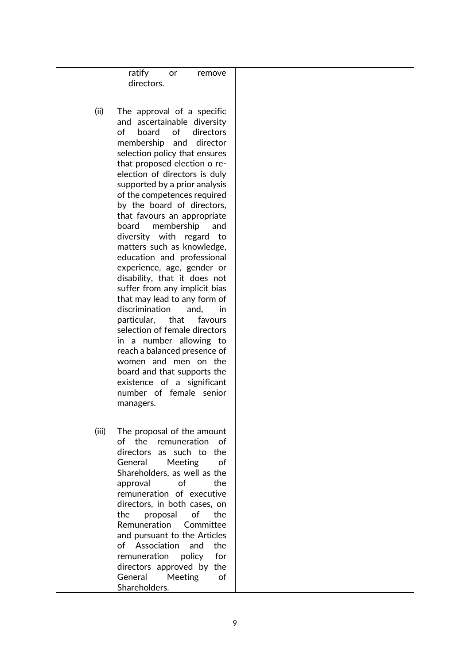ratify or remove directors.

- (ii) The approval of a specific and ascertainable diversity of board of directors membership and director selection policy that ensures that proposed election o reelection of directors is duly supported by a prior analysis of the competences required by the board of directors, that favours an appropriate board membership and diversity with regard to matters such as knowledge, education and professional experience, age, gender or disability, that it does not suffer from any implicit bias that may lead to any form of discrimination and, in particular, that favours selection of female directors in a number allowing to reach a balanced presence of women and men on the board and that supports the existence of a significant number of female senior managers.
- (iii) The proposal of the amount of the remuneration of directors as such to the General Meeting of Shareholders, as well as the approval of the remuneration of executive directors, in both cases, on the proposal of the Remuneration Committee and pursuant to the Articles of Association and the remuneration policy for directors approved by the General Meeting of Shareholders.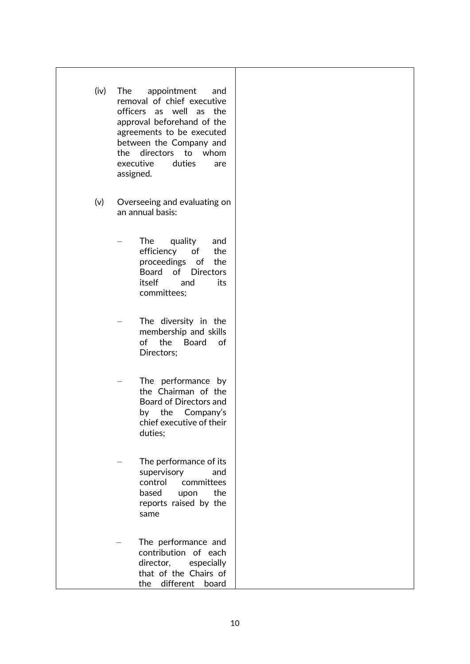- (iv) The appointment and removal of chief executive officers as well as the approval beforehand of the agreements to be executed between the Company and the directors to whom executive duties are assigned.
- (v) Overseeing and evaluating on an annual basis:
	- The quality and efficiency of the proceedings of the Board of Directors itself and its committees;
	- The diversity in the membership and skills of the Board of Directors;
	- The performance by the Chairman of the Board of Directors and by the Company's chief executive of their duties;
	- The performance of its supervisory and control committees based upon the reports raised by the same
	- The performance and contribution of each director, especially that of the Chairs of the different board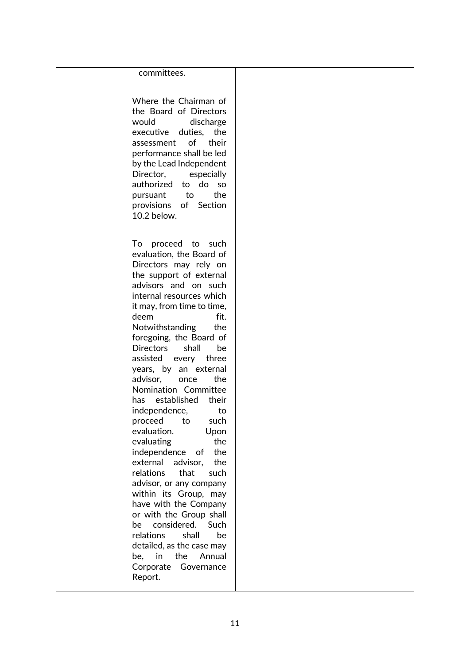#### committees.

Where the Chairman of the Board of Directors would discharge executive duties, the assessment of their performance shall be led by the Lead Independent Director, especially authorized to do so pursuant to the provisions of Section 10.2 below.

To proceed to such evaluation, the Board of Directors may rely on the support of external advisors and on such internal resources which it may, from time to time, deem fit. Notwithstanding the foregoing, the Board of Directors shall be assisted every three years, by an external advisor, once the Nomination Committee has established their independence, to proceed to such evaluation. Upon evaluating the independence of the external advisor, the relations that such advisor, or any company within its Group, may have with the Company or with the Group shall be considered. Such relations shall be detailed, as the case may be, in the Annual Corporate Governance Report.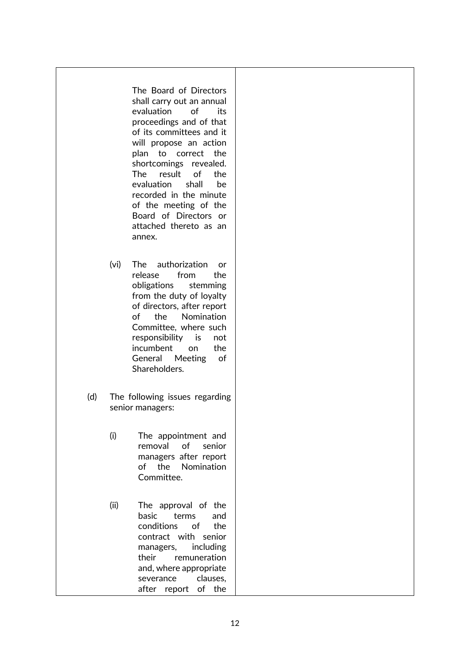### The Board of Directors shall carry out an annual evaluation of its proceedings and of that of its committees and it will propose an action plan to correct the shortcomings revealed. The result of the evaluation shall be recorded in the minute of the meeting of the Board of Directors or attached thereto as an annex.

- (vi) The authorization or release from the obligations stemming from the duty of loyalty of directors, after report of the Nomination Committee, where such responsibility is not incumbent on the General Meeting of Shareholders.
- (d) The following issues regarding senior managers:
	- (i) The appointment and removal of senior managers after report of the Nomination Committee.
	- (ii) The approval of the basic terms and conditions of the contract with senior managers, including their remuneration and, where appropriate severance clauses. after report of the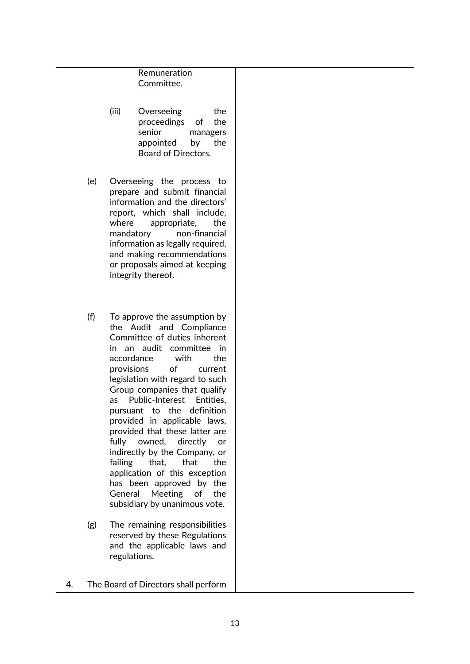### Remuneration Committee.

- (iii) Overseeing the proceedings of the senior managers appointed by the Board of Directors.
- (e) Overseeing the process to prepare and submit financial information and the directors' report, which shall include, where appropriate, the mandatory non-financial information as legally required, and making recommendations or proposals aimed at keeping integrity thereof.
- (f) To approve the assumption by the Audit and Compliance Committee of duties inherent in an audit committee in accordance with the provisions of current legislation with regard to such Group companies that qualify as Public-Interest Entities, pursuant to the definition provided in applicable laws, provided that these latter are fully owned, directly or indirectly by the Company, or failing that, that the application of this exception has been approved by the General Meeting of the subsidiary by unanimous vote.
- (g) The remaining responsibilities reserved by these Regulations and the applicable laws and regulations.

4. The Board of Directors shall perform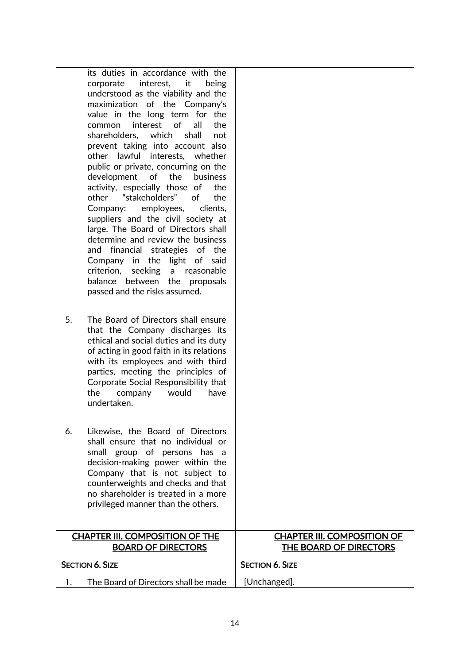| its duties in accordance with the<br>interest,<br>it<br>corporate<br>being<br>understood as the viability and the<br>maximization of the Company's<br>value in the long term for the<br>of<br>interest<br>all<br>the<br>common<br>shareholders, which<br>shall<br>not<br>prevent taking into account also<br>other lawful interests, whether<br>public or private, concurring on the<br>development of the<br>business         |                                                                     |
|--------------------------------------------------------------------------------------------------------------------------------------------------------------------------------------------------------------------------------------------------------------------------------------------------------------------------------------------------------------------------------------------------------------------------------|---------------------------------------------------------------------|
| activity, especially those of<br>the<br>other<br>"stakeholders"<br>of<br>the<br>employees,<br>clients,<br>Company:<br>suppliers and the civil society at<br>large. The Board of Directors shall<br>determine and review the business<br>and financial strategies<br>of the<br>light of said<br>Company in<br>the<br>criterion,<br>seeking<br>a<br>reasonable<br>balance between the proposals<br>passed and the risks assumed. |                                                                     |
| 5.<br>The Board of Directors shall ensure<br>that the Company discharges its<br>ethical and social duties and its duty<br>of acting in good faith in its relations<br>with its employees and with third<br>parties, meeting the principles of<br>Corporate Social Responsibility that<br>the<br>would<br>company<br>have<br>undertaken.                                                                                        |                                                                     |
| Likewise, the Board of Directors<br>6.<br>shall ensure that no individual or<br>small group of persons has a<br>decision-making power within the<br>Company that is not subject to<br>counterweights and checks and that<br>no shareholder is treated in a more<br>privileged manner than the others.                                                                                                                          |                                                                     |
| <b>CHAPTER III. COMPOSITION OF THE</b><br><b>BOARD OF DIRECTORS</b>                                                                                                                                                                                                                                                                                                                                                            | <b>CHAPTER III. COMPOSITION OF</b><br><b>THE BOARD OF DIRECTORS</b> |
| <b>SECTION 6. SIZE</b>                                                                                                                                                                                                                                                                                                                                                                                                         | <b>SECTION 6. SIZE</b>                                              |
| The Board of Directors shall be made<br>1.                                                                                                                                                                                                                                                                                                                                                                                     | [Unchanged].                                                        |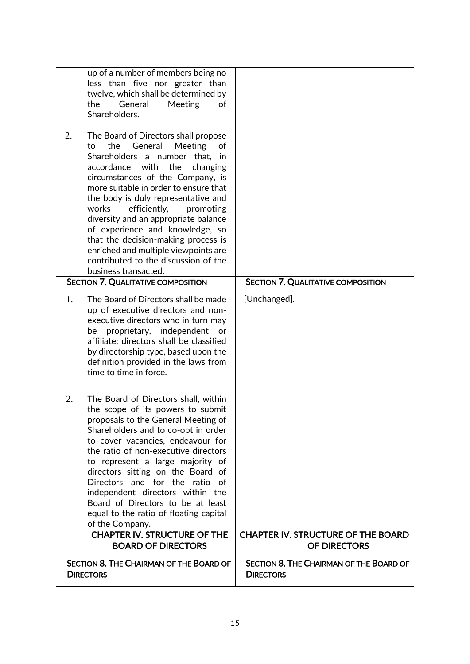|    | up of a number of members being no<br>less than five nor greater than<br>twelve, which shall be determined by<br>the<br>General<br>Meeting<br>of<br>Shareholders.                                                                                                                                                                                                                                                                                                                                                                      |                                                                    |
|----|----------------------------------------------------------------------------------------------------------------------------------------------------------------------------------------------------------------------------------------------------------------------------------------------------------------------------------------------------------------------------------------------------------------------------------------------------------------------------------------------------------------------------------------|--------------------------------------------------------------------|
| 2. | The Board of Directors shall propose<br>the<br>General<br>Meeting<br>to<br>of<br>Shareholders a number that, in<br>accordance with the<br>changing<br>circumstances of the Company, is<br>more suitable in order to ensure that<br>the body is duly representative and<br>works<br>efficiently,<br>promoting<br>diversity and an appropriate balance<br>of experience and knowledge, so<br>that the decision-making process is<br>enriched and multiple viewpoints are<br>contributed to the discussion of the<br>business transacted. |                                                                    |
|    | <b>SECTION 7. QUALITATIVE COMPOSITION</b>                                                                                                                                                                                                                                                                                                                                                                                                                                                                                              | <b>SECTION 7. QUALITATIVE COMPOSITION</b>                          |
| 1. | The Board of Directors shall be made<br>up of executive directors and non-<br>executive directors who in turn may<br>proprietary, independent<br>be<br>or<br>affiliate; directors shall be classified<br>by directorship type, based upon the<br>definition provided in the laws from<br>time to time in force.                                                                                                                                                                                                                        | [Unchanged].                                                       |
| 2. | The Board of Directors shall, within<br>the scope of its powers to submit<br>proposals to the General Meeting of<br>Shareholders and to co-opt in order<br>to cover vacancies, endeavour for<br>the ratio of non-executive directors<br>to represent a large majority of<br>directors sitting on the Board of<br>Directors and for the ratio of<br>independent directors within the<br>Board of Directors to be at least<br>equal to the ratio of floating capital<br>of the Company.                                                  |                                                                    |
|    | <b>CHAPTER IV. STRUCTURE OF THE</b>                                                                                                                                                                                                                                                                                                                                                                                                                                                                                                    | <b>CHAPTER IV. STRUCTURE OF THE BOARD</b>                          |
|    | <b>BOARD OF DIRECTORS</b>                                                                                                                                                                                                                                                                                                                                                                                                                                                                                                              | OF DIRECTORS                                                       |
|    | <b>SECTION 8. THE CHAIRMAN OF THE BOARD OF</b><br><b>DIRECTORS</b>                                                                                                                                                                                                                                                                                                                                                                                                                                                                     | <b>SECTION 8. THE CHAIRMAN OF THE BOARD OF</b><br><b>DIRECTORS</b> |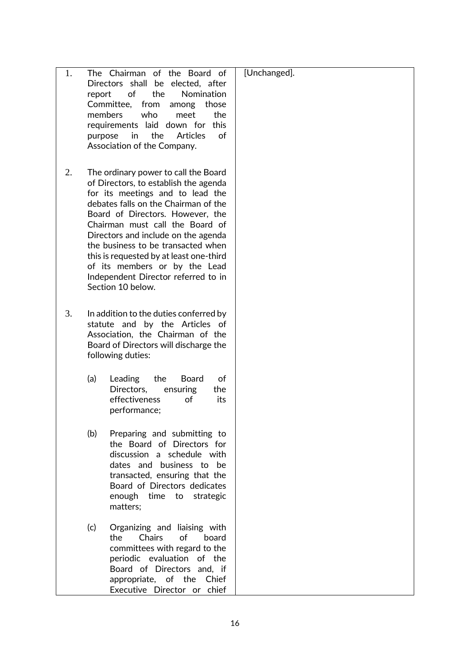| 1. | report<br>purpose | The Chairman of the Board of<br>Directors shall be elected, after<br>of<br>the<br>Nomination<br>Committee,<br>from<br>those<br>among<br>who<br>members<br>the<br>meet<br>requirements laid down for<br>this<br>the<br>in<br>Articles<br>of<br>Association of the Company.                                                                                                                                                                             | [Unchanged]. |
|----|-------------------|-------------------------------------------------------------------------------------------------------------------------------------------------------------------------------------------------------------------------------------------------------------------------------------------------------------------------------------------------------------------------------------------------------------------------------------------------------|--------------|
| 2. |                   | The ordinary power to call the Board<br>of Directors, to establish the agenda<br>for its meetings and to lead the<br>debates falls on the Chairman of the<br>Board of Directors. However, the<br>Chairman must call the Board of<br>Directors and include on the agenda<br>the business to be transacted when<br>this is requested by at least one-third<br>of its members or by the Lead<br>Independent Director referred to in<br>Section 10 below. |              |
| 3. |                   | In addition to the duties conferred by<br>statute and by the Articles of<br>Association, the Chairman of the<br>Board of Directors will discharge the<br>following duties:                                                                                                                                                                                                                                                                            |              |
|    | (a)               | Leading<br>the<br><b>Board</b><br>of<br>Directors,<br>ensuring<br>the<br>effectiveness<br>of<br>its<br>performance;                                                                                                                                                                                                                                                                                                                                   |              |
|    | (b)               | Preparing and submitting to<br>the Board of Directors for<br>discussion a schedule with<br>dates and business to be<br>transacted, ensuring that the<br>Board of Directors dedicates<br>enough time to strategic<br>matters;                                                                                                                                                                                                                          |              |
|    | (c)               | Organizing and liaising with<br>of<br>the<br><b>Chairs</b><br>board<br>committees with regard to the<br>periodic evaluation of the<br>Board of Directors and, if<br>appropriate, of the Chief<br>Executive Director or chief                                                                                                                                                                                                                          |              |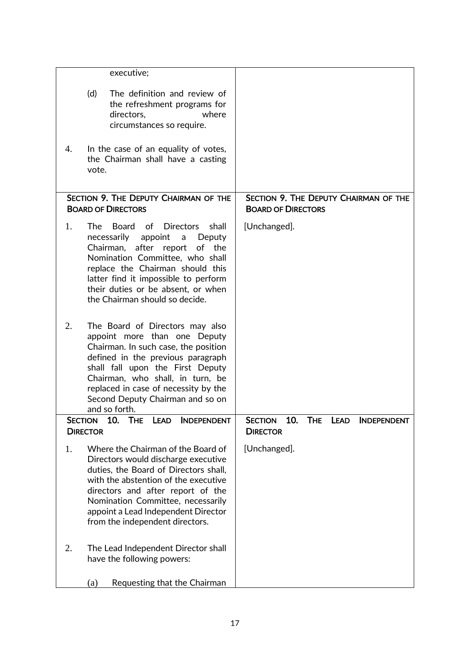|    | executive;                                                                                                                                                                                                                                                                                                                       |                                                                                      |
|----|----------------------------------------------------------------------------------------------------------------------------------------------------------------------------------------------------------------------------------------------------------------------------------------------------------------------------------|--------------------------------------------------------------------------------------|
|    | (d)<br>The definition and review of<br>the refreshment programs for<br>directors,<br>where<br>circumstances so require.                                                                                                                                                                                                          |                                                                                      |
| 4. | In the case of an equality of votes,<br>the Chairman shall have a casting<br>vote.                                                                                                                                                                                                                                               |                                                                                      |
|    | SECTION 9. THE DEPUTY CHAIRMAN OF THE<br><b>BOARD OF DIRECTORS</b>                                                                                                                                                                                                                                                               | SECTION 9. THE DEPUTY CHAIRMAN OF THE<br><b>BOARD OF DIRECTORS</b>                   |
| 1. | The<br><b>Board</b><br>of<br><b>Directors</b><br>shall<br>necessarily<br>appoint<br>Deputy<br>a<br>after report<br>Chairman,<br>of<br>the<br>Nomination Committee, who shall<br>replace the Chairman should this<br>latter find it impossible to perform<br>their duties or be absent, or when<br>the Chairman should so decide. | [Unchanged].                                                                         |
| 2. | The Board of Directors may also<br>appoint more than one Deputy<br>Chairman. In such case, the position<br>defined in the previous paragraph<br>shall fall upon the First Deputy<br>Chairman, who shall, in turn, be<br>replaced in case of necessity by the<br>Second Deputy Chairman and so on<br>and so forth.                |                                                                                      |
|    | 10.<br><b>LEAD</b><br><b>INDEPENDENT</b><br>The<br><b>SECTION</b><br><b>DIRECTOR</b>                                                                                                                                                                                                                                             | 10.<br><b>THE</b><br><b>SECTION</b><br>LEAD<br><b>INDEPENDENT</b><br><b>DIRECTOR</b> |
| 1. | Where the Chairman of the Board of<br>Directors would discharge executive<br>duties, the Board of Directors shall,<br>with the abstention of the executive<br>directors and after report of the<br>Nomination Committee, necessarily<br>appoint a Lead Independent Director<br>from the independent directors.                   | [Unchanged].                                                                         |
| 2. | The Lead Independent Director shall<br>have the following powers:                                                                                                                                                                                                                                                                |                                                                                      |
|    | Requesting that the Chairman<br>(a)                                                                                                                                                                                                                                                                                              |                                                                                      |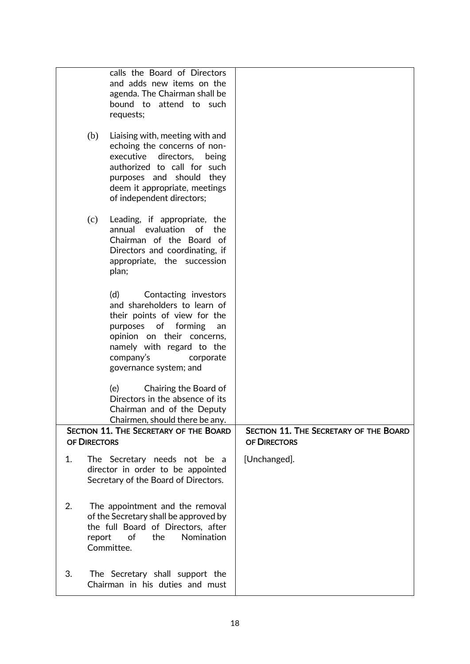|    |              | calls the Board of Directors<br>and adds new items on the<br>agenda. The Chairman shall be<br>bound to attend to such<br>requests;                                                                                                      |                                                        |
|----|--------------|-----------------------------------------------------------------------------------------------------------------------------------------------------------------------------------------------------------------------------------------|--------------------------------------------------------|
|    | (b)          | Liaising with, meeting with and<br>echoing the concerns of non-<br>executive directors,<br>being<br>authorized to call for such<br>purposes and should they<br>deem it appropriate, meetings<br>of independent directors;               |                                                        |
|    | (c)          | Leading, if appropriate, the<br>annual evaluation of the<br>Chairman of the Board of<br>Directors and coordinating, if<br>appropriate, the succession<br>plan;                                                                          |                                                        |
|    |              | (d)<br>Contacting investors<br>and shareholders to learn of<br>their points of view for the<br>purposes of forming<br>an<br>opinion on their concerns,<br>namely with regard to the<br>company's<br>corporate<br>governance system; and |                                                        |
|    |              | (e)<br>Chairing the Board of<br>Directors in the absence of its<br>Chairman and of the Deputy<br>Chairmen, should there be any.                                                                                                         |                                                        |
|    | OF DIRECTORS | SECTION 11. THE SECRETARY OF THE BOARD                                                                                                                                                                                                  | SECTION 11. THE SECRETARY OF THE BOARD<br>OF DIRECTORS |
| 1. |              | The Secretary needs not be a<br>director in order to be appointed<br>Secretary of the Board of Directors.                                                                                                                               | [Unchanged].                                           |
| 2. | report       | The appointment and the removal<br>of the Secretary shall be approved by<br>the full Board of Directors, after<br>of<br>the<br>Nomination<br>Committee.                                                                                 |                                                        |
| 3. |              | The Secretary shall support the<br>Chairman in his duties and must                                                                                                                                                                      |                                                        |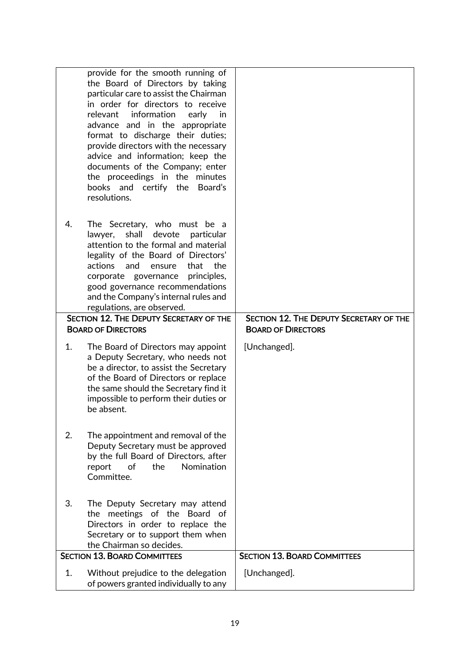|    | provide for the smooth running of<br>the Board of Directors by taking<br>particular care to assist the Chairman<br>in order for directors to receive<br>information<br>relevant<br>early<br>in<br>advance and in the appropriate<br>format to discharge their duties;<br>provide directors with the necessary<br>advice and information; keep the<br>documents of the Company; enter<br>the proceedings in the minutes<br>books and certify the<br>Board's<br>resolutions. |                                                                             |
|----|----------------------------------------------------------------------------------------------------------------------------------------------------------------------------------------------------------------------------------------------------------------------------------------------------------------------------------------------------------------------------------------------------------------------------------------------------------------------------|-----------------------------------------------------------------------------|
| 4. | The Secretary, who must be a<br>shall<br>devote<br>lawyer,<br>particular<br>attention to the formal and material<br>legality of the Board of Directors'<br>actions<br>that<br>the<br>and<br>ensure<br>principles,<br>corporate governance<br>good governance recommendations<br>and the Company's internal rules and<br>regulations, are observed.<br><b>SECTION 12. THE DEPUTY SECRETARY OF THE</b><br><b>BOARD OF DIRECTORS</b>                                          | <b>SECTION 12. THE DEPUTY SECRETARY OF THE</b><br><b>BOARD OF DIRECTORS</b> |
|    |                                                                                                                                                                                                                                                                                                                                                                                                                                                                            |                                                                             |
| 1. | The Board of Directors may appoint<br>a Deputy Secretary, who needs not<br>be a director, to assist the Secretary<br>of the Board of Directors or replace<br>the same should the Secretary find it<br>impossible to perform their duties or<br>be absent.                                                                                                                                                                                                                  | [Unchanged].                                                                |
| 2. | The appointment and removal of the<br>Deputy Secretary must be approved<br>by the full Board of Directors, after<br>Nomination<br>of<br>the<br>report<br>Committee.                                                                                                                                                                                                                                                                                                        |                                                                             |
| 3. | The Deputy Secretary may attend<br>the meetings of the Board of<br>Directors in order to replace the<br>Secretary or to support them when<br>the Chairman so decides.                                                                                                                                                                                                                                                                                                      |                                                                             |
|    | <b>SECTION 13. BOARD COMMITTEES</b>                                                                                                                                                                                                                                                                                                                                                                                                                                        | <b>SECTION 13. BOARD COMMITTEES</b>                                         |
| 1. | Without prejudice to the delegation<br>of powers granted individually to any                                                                                                                                                                                                                                                                                                                                                                                               | [Unchanged].                                                                |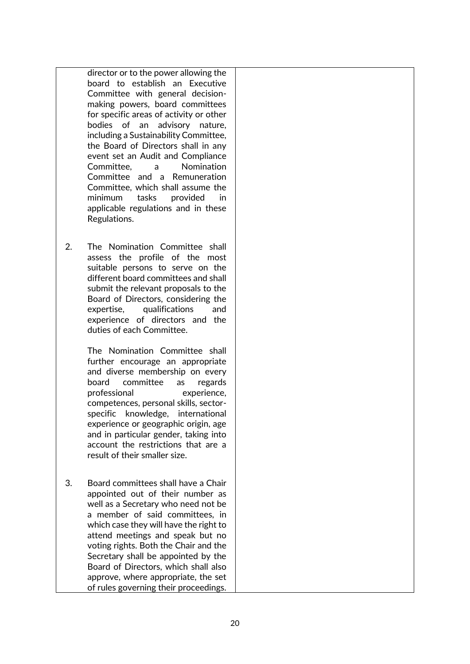director or to the power allowing the board to establish an Executive Committee with general decisionmaking powers, board committees for specific areas of activity or other bodies of an advisory nature, including a Sustainability Committee, the Board of Directors shall in any event set an Audit and Compliance Committee, a Nomination Committee and a Remuneration Committee, which shall assume the minimum tasks provided in applicable regulations and in these Regulations.

2. The Nomination Committee shall assess the profile of the most suitable persons to serve on the different board committees and shall submit the relevant proposals to the Board of Directors, considering the expertise, qualifications and experience of directors and the duties of each Committee.

> The Nomination Committee shall further encourage an appropriate and diverse membership on every board committee as regards professional experience, competences, personal skills, sectorspecific knowledge, international experience or geographic origin, age and in particular gender, taking into account the restrictions that are a result of their smaller size.

3. Board committees shall have a Chair appointed out of their number as well as a Secretary who need not be a member of said committees, in which case they will have the right to attend meetings and speak but no voting rights. Both the Chair and the Secretary shall be appointed by the Board of Directors, which shall also approve, where appropriate, the set of rules governing their proceedings.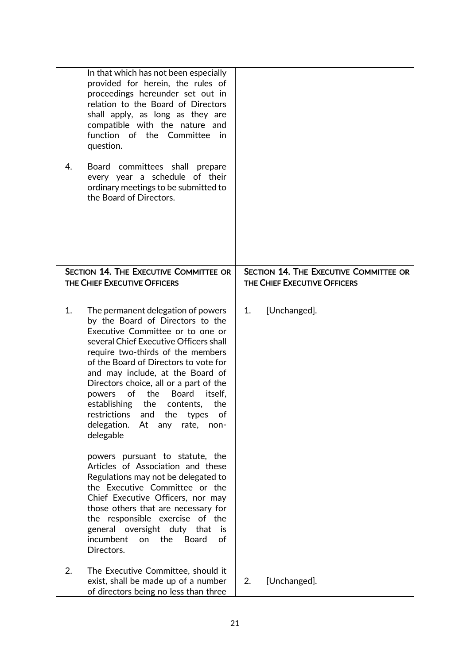|    | In that which has not been especially<br>provided for herein, the rules of<br>proceedings hereunder set out in<br>relation to the Board of Directors<br>shall apply, as long as they are<br>compatible with the nature and<br>function of the Committee in<br>question.                                                                                                                                                                                                                                              |                                                                        |
|----|----------------------------------------------------------------------------------------------------------------------------------------------------------------------------------------------------------------------------------------------------------------------------------------------------------------------------------------------------------------------------------------------------------------------------------------------------------------------------------------------------------------------|------------------------------------------------------------------------|
| 4. | Board committees shall<br>prepare<br>every year a schedule of their<br>ordinary meetings to be submitted to<br>the Board of Directors.                                                                                                                                                                                                                                                                                                                                                                               |                                                                        |
|    | SECTION 14. THE EXECUTIVE COMMITTEE OR<br>THE CHIEF EXECUTIVE OFFICERS                                                                                                                                                                                                                                                                                                                                                                                                                                               | SECTION 14. THE EXECUTIVE COMMITTEE OR<br>THE CHIEF EXECUTIVE OFFICERS |
| 1. | The permanent delegation of powers<br>by the Board of Directors to the<br>Executive Committee or to one or<br>several Chief Executive Officers shall<br>require two-thirds of the members<br>of the Board of Directors to vote for<br>and may include, at the Board of<br>Directors choice, all or a part of the<br>the<br><b>Board</b><br>of<br>itself,<br>powers<br>establishing<br>the<br>the<br>contents,<br>restrictions<br>the<br>of<br>and<br>types<br>delegation.<br>At<br>any<br>rate,<br>non-<br>delegable | [Unchanged].<br>1.                                                     |
|    | powers pursuant to statute, the<br>Articles of Association and these<br>Regulations may not be delegated to<br>the Executive Committee or the<br>Chief Executive Officers, nor may<br>those others that are necessary for<br>the responsible exercise of the<br>general oversight duty that<br>is<br>incumbent<br><b>Board</b><br>on<br>the<br>of<br>Directors.                                                                                                                                                      |                                                                        |
| 2. | The Executive Committee, should it<br>exist, shall be made up of a number<br>of directors being no less than three                                                                                                                                                                                                                                                                                                                                                                                                   | [Unchanged].<br>2.                                                     |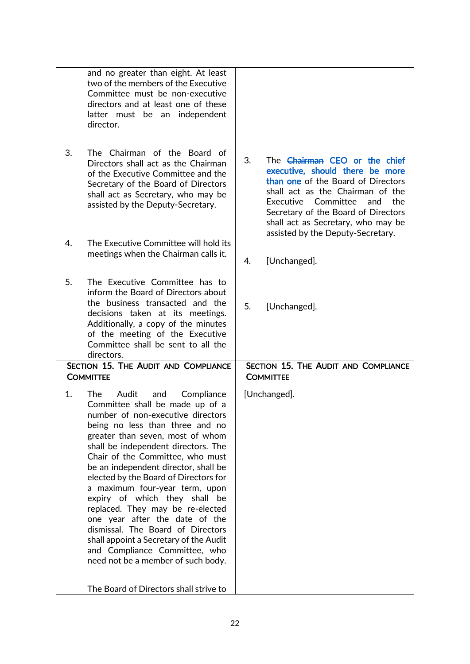|                                                          | and no greater than eight. At least<br>two of the members of the Executive<br>Committee must be non-executive<br>directors and at least one of these<br>latter must be an<br>independent<br>director.                                                                                                                                                                                                                                                                                                                                                                                                                                              |                                                                                                                                                                                                                                                                    |  |  |
|----------------------------------------------------------|----------------------------------------------------------------------------------------------------------------------------------------------------------------------------------------------------------------------------------------------------------------------------------------------------------------------------------------------------------------------------------------------------------------------------------------------------------------------------------------------------------------------------------------------------------------------------------------------------------------------------------------------------|--------------------------------------------------------------------------------------------------------------------------------------------------------------------------------------------------------------------------------------------------------------------|--|--|
| 3.                                                       | The Chairman of the Board of<br>Directors shall act as the Chairman<br>of the Executive Committee and the<br>Secretary of the Board of Directors<br>shall act as Secretary, who may be<br>assisted by the Deputy-Secretary.                                                                                                                                                                                                                                                                                                                                                                                                                        | 3.<br>The Chairman CEO or the chief<br>executive, should there be more<br>than one of the Board of Directors<br>shall act as the Chairman of the<br>Executive Committee<br>and<br>the<br>Secretary of the Board of Directors<br>shall act as Secretary, who may be |  |  |
| 4.                                                       | The Executive Committee will hold its<br>meetings when the Chairman calls it.                                                                                                                                                                                                                                                                                                                                                                                                                                                                                                                                                                      | assisted by the Deputy-Secretary.                                                                                                                                                                                                                                  |  |  |
|                                                          |                                                                                                                                                                                                                                                                                                                                                                                                                                                                                                                                                                                                                                                    | [Unchanged].<br>4.                                                                                                                                                                                                                                                 |  |  |
| 5.                                                       | The Executive Committee has to<br>inform the Board of Directors about<br>the business transacted and the<br>decisions taken at its meetings.<br>Additionally, a copy of the minutes<br>of the meeting of the Executive<br>Committee shall be sent to all the<br>directors.                                                                                                                                                                                                                                                                                                                                                                         | 5.<br>[Unchanged].                                                                                                                                                                                                                                                 |  |  |
| SECTION 15. THE AUDIT AND COMPLIANCE<br><b>COMMITTEE</b> |                                                                                                                                                                                                                                                                                                                                                                                                                                                                                                                                                                                                                                                    | SECTION 15. THE AUDIT AND COMPLIANCE<br><b>COMMITTEE</b>                                                                                                                                                                                                           |  |  |
| 1.                                                       | <b>The</b><br>Audit<br>Compliance<br>and<br>Committee shall be made up of a<br>number of non-executive directors<br>being no less than three and no<br>greater than seven, most of whom<br>shall be independent directors. The<br>Chair of the Committee, who must<br>be an independent director, shall be<br>elected by the Board of Directors for<br>a maximum four-year term, upon<br>expiry of which they shall be<br>replaced. They may be re-elected<br>one year after the date of the<br>dismissal. The Board of Directors<br>shall appoint a Secretary of the Audit<br>and Compliance Committee, who<br>need not be a member of such body. | [Unchanged].                                                                                                                                                                                                                                                       |  |  |
|                                                          | The Board of Directors shall strive to                                                                                                                                                                                                                                                                                                                                                                                                                                                                                                                                                                                                             |                                                                                                                                                                                                                                                                    |  |  |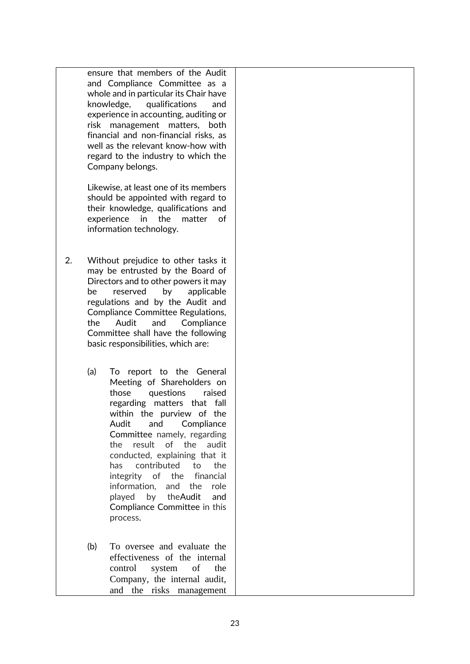ensure that members of the Audit and Compliance Committee as a whole and in particular its Chair have knowledge, qualifications and experience in accounting, auditing or risk management matters, both financial and non-financial risks, as well as the relevant know-how with regard to the industry to which the Company belongs.

Likewise, at least one of its members should be appointed with regard to their knowledge, qualifications and experience in the matter of information technology.

- 2. Without prejudice to other tasks it may be entrusted by the Board of Directors and to other powers it may be reserved by applicable regulations and by the Audit and Compliance Committee Regulations, the Audit and Compliance Committee shall have the following basic responsibilities, which are:
	- (a) To report to the General Meeting of Shareholders on those questions raised regarding matters that fall within the purview of the Audit and Compliance Committee namely, regarding the result of the audit conducted, explaining that it has contributed to the integrity of the financial information, and the role played by theAudit and Compliance Committee in this process.
	- (b) To oversee and evaluate the effectiveness of the internal control system of the Company, the internal audit, and the risks management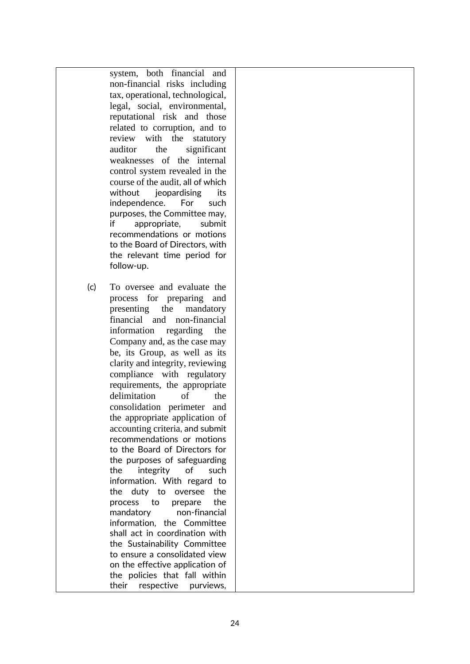system, both financial and non-financial risks including tax, operational, technological, legal, social, environmental, reputational risk and those related to corruption, and to review with the statutory auditor the significant weaknesses of the internal control system revealed in the course of the audit, all of which without ieopardising its independence. For such purposes, the Committee may, if appropriate, submit recommendations or motions to the Board of Directors, with the relevant time period for follow-up.

(c) To oversee and evaluate the process for preparing and presenting the mandatory financial and non-financial information regarding the Company and, as the case may be, its Group, as well as its clarity and integrity, reviewing compliance with regulatory requirements, the appropriate delimitation of the consolidation perimeter and the appropriate application of accounting criteria, and submit recommendations or motions to the Board of Directors for the purposes of safeguarding the integrity of such information. With regard to the duty to oversee the process to prepare the mandatory non-financial information, the Committee shall act in coordination with the Sustainability Committee to ensure a consolidated view on the effective application of the policies that fall within their respective purviews,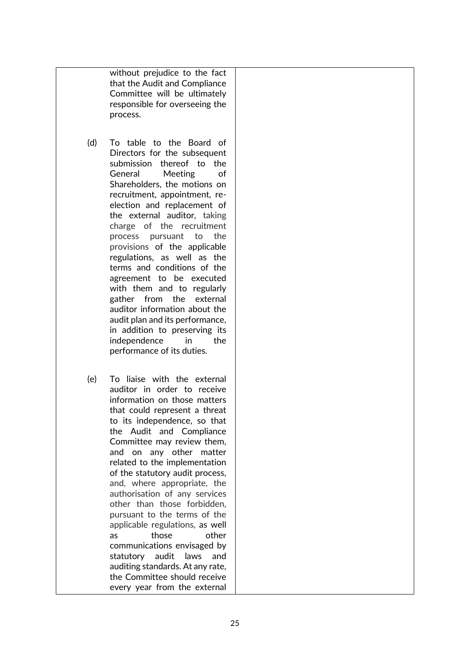without prejudice to the fact that the Audit and Compliance Committee will be ultimately responsible for overseeing the process.

- (d) To table to the Board of Directors for the subsequent submission thereof to the General Meeting of Shareholders, the motions on recruitment, appointment, reelection and replacement of the external auditor, taking charge of the recruitment process pursuant to the provisions of the applicable regulations, as well as the terms and conditions of the agreement to be executed with them and to regularly gather from the external auditor information about the audit plan and its performance, in addition to preserving its independence in the performance of its duties.
- (e) To liaise with the external auditor in order to receive information on those matters that could represent a threat to its independence, so that the Audit and Compliance Committee may review them, and on any other matter related to the implementation of the statutory audit process, and, where appropriate, the authorisation of any services other than those forbidden, pursuant to the terms of the applicable regulations, as well as those other communications envisaged by statutory audit laws and auditing standards. At any rate, the Committee should receive every year from the external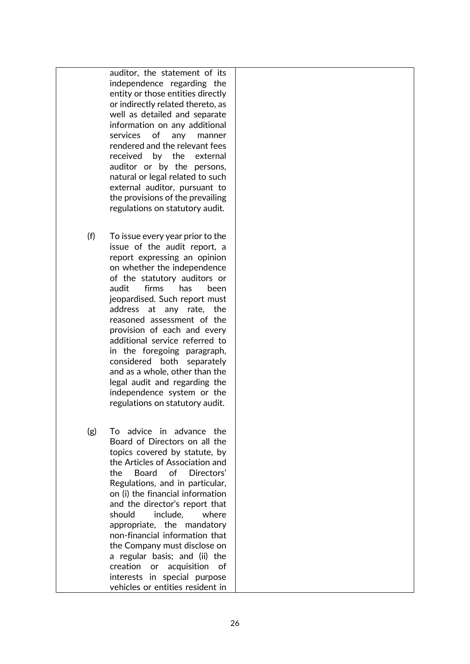auditor, the statement of its independence regarding the entity or those entities directly or indirectly related thereto, as well as detailed and separate information on any additional services of any manner rendered and the relevant fees received by the external auditor or by the persons, natural or legal related to such external auditor, pursuant to the provisions of the prevailing regulations on statutory audit.

- (f) To issue every year prior to the issue of the audit report, a report expressing an opinion on whether the independence of the statutory auditors or audit firms has been jeopardised. Such report must address at any rate, the reasoned assessment of the provision of each and every additional service referred to in the foregoing paragraph, considered both separately and as a whole, other than the legal audit and regarding the independence system or the regulations on statutory audit.
- (g) To advice in advance the Board of Directors on all the topics covered by statute, by the Articles of Association and the Board of Directors' Regulations, and in particular, on (i) the financial information and the director's report that should include, where appropriate, the mandatory non-financial information that the Company must disclose on a regular basis; and (ii) the creation or acquisition of interests in special purpose vehicles or entities resident in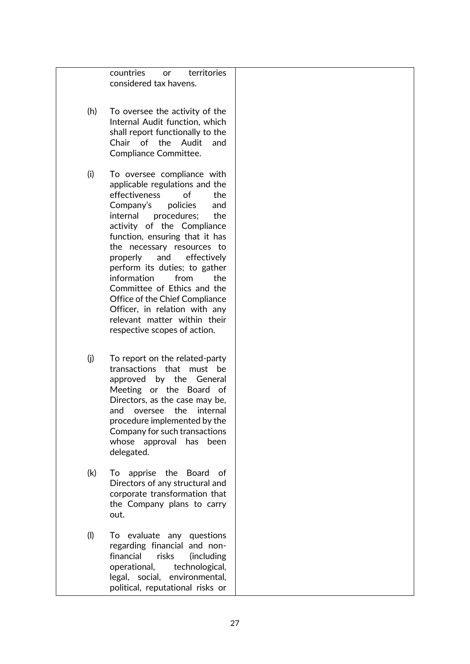countries or territories considered tax havens. (h) To oversee the activity of the Internal Audit function, which shall report functionally to the Chair of the Audit and Compliance Committee. (i) To oversee compliance with applicable regulations and the effectiveness of the Company's policies and internal procedures; the activity of the Compliance function, ensuring that it has the necessary resources to properly and effectively perform its duties; to gather information from the Committee of Ethics and the Office of the Chief Compliance Officer, in relation with any relevant matter within their respective scopes of action. (j) To report on the related-party transactions that must be approved by the General Meeting or the Board of Directors, as the case may be, and oversee the internal procedure implemented by the Company for such transactions whose approval has been delegated. (k) To apprise the Board of Directors of any structural and corporate transformation that the Company plans to carry out. (l) To evaluate any questions regarding financial and nonfinancial risks (including

operational, technological, legal, social, environmental, political, reputational risks or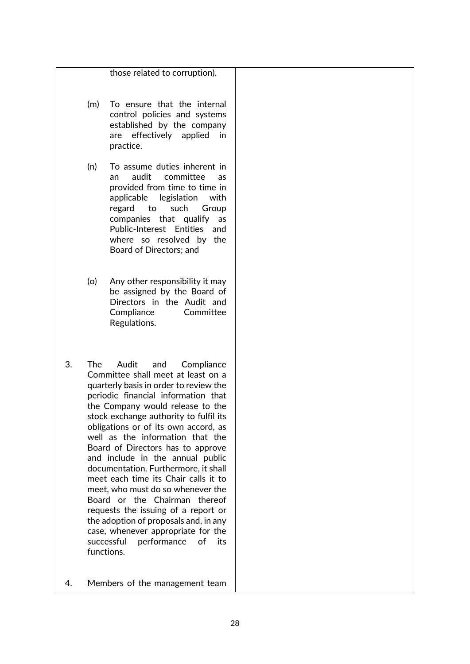those related to corruption).

- (m) To ensure that the internal control policies and systems established by the company are effectively applied in practice.
- (n) To assume duties inherent in an audit committee as provided from time to time in applicable legislation with regard to such Group companies that qualify as Public-Interest Entities and where so resolved by the Board of Directors; and
- (o) Any other responsibility it may be assigned by the Board of Directors in the Audit and Compliance Committee Regulations.
- 3. The Audit and Compliance Committee shall meet at least on a quarterly basis in order to review the periodic financial information that the Company would release to the stock exchange authority to fulfil its obligations or of its own accord, as well as the information that the Board of Directors has to approve and include in the annual public documentation. Furthermore, it shall meet each time its Chair calls it to meet, who must do so whenever the Board or the Chairman thereof requests the issuing of a report or the adoption of proposals and, in any case, whenever appropriate for the successful performance of its functions.
- 4. Members of the management team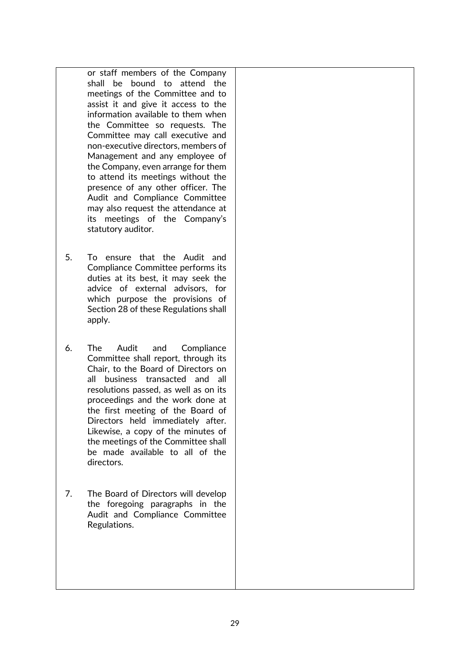or staff members of the Company shall be bound to attend the meetings of the Committee and to assist it and give it access to the information available to them when the Committee so requests. The Committee may call executive and non-executive directors, members of Management and any employee of the Company, even arrange for them to attend its meetings without the presence of any other officer. The Audit and Compliance Committee may also request the attendance at its meetings of the Company's statutory auditor.

- 5. To ensure that the Audit and Compliance Committee performs its duties at its best, it may seek the advice of external advisors, for which purpose the provisions of Section 28 of these Regulations shall apply.
- 6. The Audit and Compliance Committee shall report, through its Chair, to the Board of Directors on all business transacted and all resolutions passed, as well as on its proceedings and the work done at the first meeting of the Board of Directors held immediately after. Likewise, a copy of the minutes of the meetings of the Committee shall be made available to all of the directors.
- 7. The Board of Directors will develop the foregoing paragraphs in the Audit and Compliance Committee Regulations.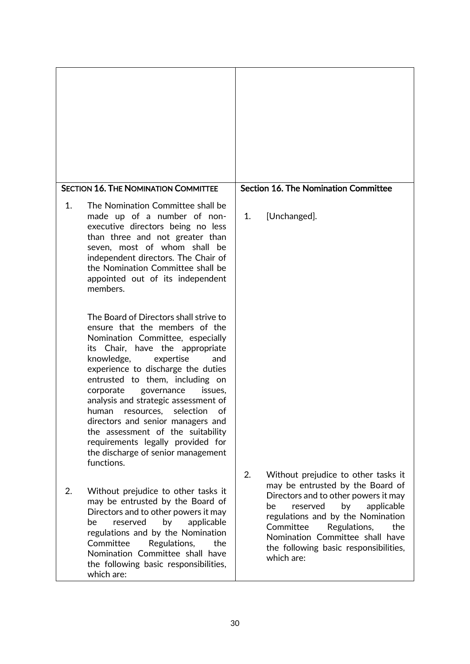| <b>SECTION 16. THE NOMINATION COMMITTEE</b>                                                                                                                                                                                                                                                                                                                                                                                                                                                                                                           | <b>Section 16. The Nomination Committee</b>                                                                                                                                                                                                                                       |  |  |
|-------------------------------------------------------------------------------------------------------------------------------------------------------------------------------------------------------------------------------------------------------------------------------------------------------------------------------------------------------------------------------------------------------------------------------------------------------------------------------------------------------------------------------------------------------|-----------------------------------------------------------------------------------------------------------------------------------------------------------------------------------------------------------------------------------------------------------------------------------|--|--|
| The Nomination Committee shall be<br>$\mathbf{1}$ .<br>made up of a number of non-<br>executive directors being no less<br>than three and not greater than<br>seven, most of whom shall be<br>independent directors. The Chair of<br>the Nomination Committee shall be<br>appointed out of its independent<br>members.                                                                                                                                                                                                                                | [Unchanged].<br>1.                                                                                                                                                                                                                                                                |  |  |
| The Board of Directors shall strive to<br>ensure that the members of the<br>Nomination Committee, especially<br>its Chair, have the appropriate<br>knowledge,<br>expertise<br>and<br>experience to discharge the duties<br>entrusted to them, including on<br>corporate<br>governance<br>issues,<br>analysis and strategic assessment of<br>selection<br>human<br>resources,<br>of<br>directors and senior managers and<br>the assessment of the suitability<br>requirements legally provided for<br>the discharge of senior management<br>functions. | 2.<br>Without prejudice to other tasks it                                                                                                                                                                                                                                         |  |  |
| 2.<br>Without prejudice to other tasks it<br>may be entrusted by the Board of<br>Directors and to other powers it may<br>reserved<br>by<br>be<br>applicable<br>regulations and by the Nomination<br>Committee<br>Regulations,<br>the<br>Nomination Committee shall have<br>the following basic responsibilities,<br>which are:                                                                                                                                                                                                                        | may be entrusted by the Board of<br>Directors and to other powers it may<br>be<br>reserved<br>by<br>applicable<br>regulations and by the Nomination<br>Committee<br>Regulations,<br>the<br>Nomination Committee shall have<br>the following basic responsibilities,<br>which are: |  |  |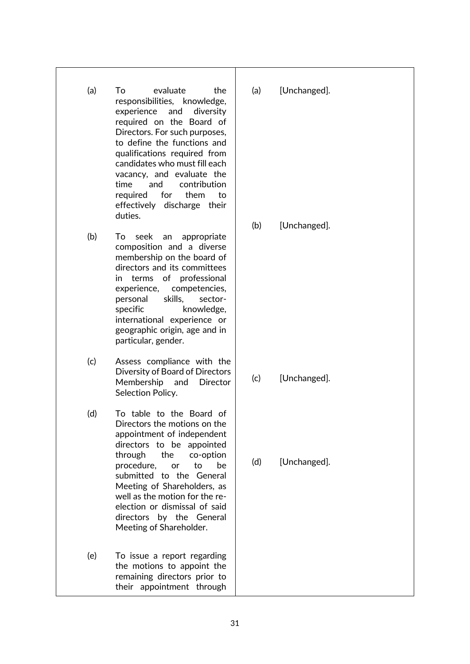- (a) To evaluate the responsibilities, knowledge, experience and diversity required on the Board of Directors. For such purposes, to define the functions and qualifications required from candidates who must fill each vacancy, and evaluate the time and contribution required for them to effectively discharge their duties.
- (b) To seek an appropriate composition and a diverse membership on the board of directors and its committees in terms of professional experience, competencies, personal skills, sectorspecific knowledge, international experience or geographic origin, age and in particular, gender.
- (c) Assess compliance with the Diversity of Board of Directors Membership and Director Selection Policy.
- (d) To table to the Board of Directors the motions on the appointment of independent directors to be appointed through the co-option procedure, or to be submitted to the General Meeting of Shareholders, as well as the motion for the reelection or dismissal of said directors by the General Meeting of Shareholder.
- (e) To issue a report regarding the motions to appoint the remaining directors prior to their appointment through

(a) [Unchanged].

(b) [Unchanged].

(c) [Unchanged].

(d) [Unchanged].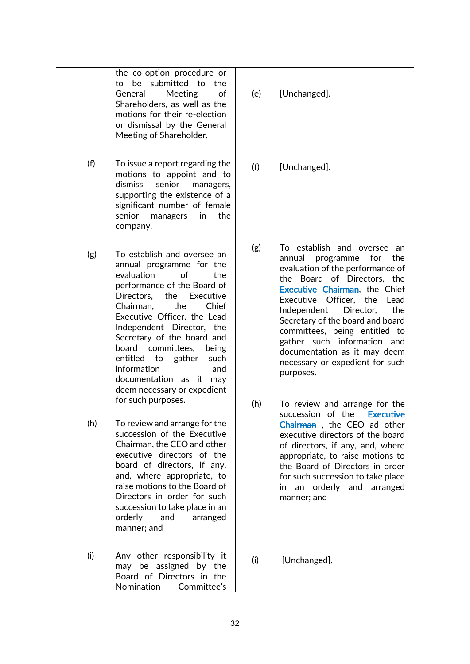the co-option procedure or to be submitted to the General Meeting of Shareholders, as well as the motions for their re-election or dismissal by the General Meeting of Shareholder.

- (f) To issue a report regarding the motions to appoint and to dismiss senior managers, supporting the existence of a significant number of female senior managers in the company.
- (g) To establish and oversee an annual programme for the evaluation of the performance of the Board of Directors, the Executive Chairman, the Chief Executive Officer, the Lead Independent Director, the Secretary of the board and board committees, being entitled to gather such information and documentation as it may deem necessary or expedient for such purposes.
- (h) To review and arrange for the succession of the Executive Chairman, the CEO and other executive directors of the board of directors, if any, and, where appropriate, to raise motions to the Board of Directors in order for such succession to take place in an orderly and arranged manner; and
- (i) Any other responsibility it may be assigned by the Board of Directors in the Nomination Committee's

## (e) [Unchanged].

(f) [Unchanged].

- (g) To establish and oversee an annual programme for the evaluation of the performance of the Board of Directors, the **Executive Chairman**, the Chief Executive Officer, the Lead Independent Director, the Secretary of the board and board committees, being entitled to gather such information and documentation as it may deem necessary or expedient for such purposes.
- (h) To review and arrange for the succession of the Executive Chairman , the CEO ad other executive directors of the board of directors, if any, and, where appropriate, to raise motions to the Board of Directors in order for such succession to take place in an orderly and arranged manner; and
- (i) [Unchanged].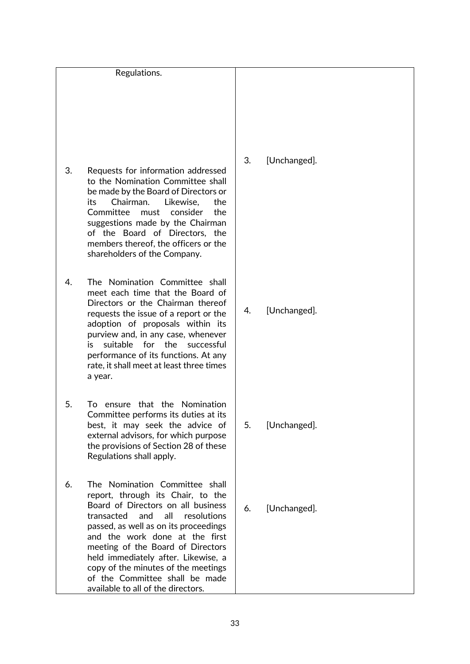|    | Regulations.                                                                                                                                                                                                                                                                                                                                                                                                      |    |              |
|----|-------------------------------------------------------------------------------------------------------------------------------------------------------------------------------------------------------------------------------------------------------------------------------------------------------------------------------------------------------------------------------------------------------------------|----|--------------|
| 3. | Requests for information addressed<br>to the Nomination Committee shall<br>be made by the Board of Directors or<br>its<br>Chairman.<br>Likewise,<br>the<br>Committee<br>must<br>consider<br>the<br>suggestions made by the Chairman<br>of the Board of Directors, the<br>members thereof, the officers or the<br>shareholders of the Company.                                                                     | 3. | [Unchanged]. |
| 4. | The Nomination Committee shall<br>meet each time that the Board of<br>Directors or the Chairman thereof<br>requests the issue of a report or the<br>adoption of proposals within its<br>purview and, in any case, whenever<br>suitable for the successful<br>i٢<br>performance of its functions. At any<br>rate, it shall meet at least three times<br>a year.                                                    | 4. | [Unchanged]. |
| 5. | ensure that the Nomination<br>To.<br>Committee performs its duties at its<br>best, it may seek the advice of<br>external advisors, for which purpose<br>the provisions of Section 28 of these<br>Regulations shall apply.                                                                                                                                                                                         | 5. | [Unchanged]. |
| 6. | The Nomination Committee shall<br>report, through its Chair, to the<br>Board of Directors on all business<br>transacted and all resolutions<br>passed, as well as on its proceedings<br>and the work done at the first<br>meeting of the Board of Directors<br>held immediately after. Likewise, a<br>copy of the minutes of the meetings<br>of the Committee shall be made<br>available to all of the directors. | 6. | [Unchanged]. |

# nchanged].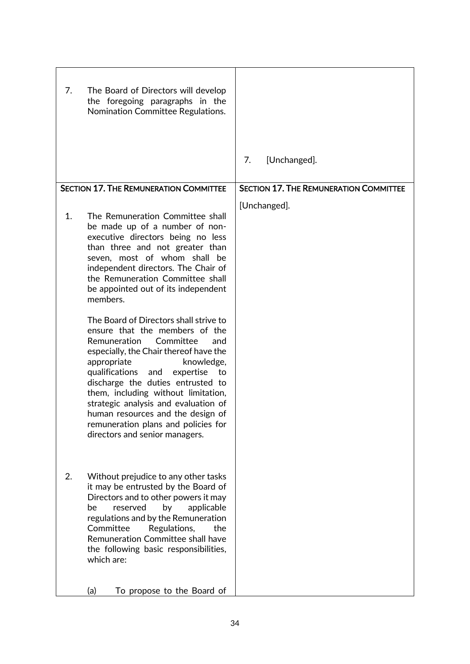| 7.                                            | The Board of Directors will develop<br>the foregoing paragraphs in the<br>Nomination Committee Regulations.                                                                                                                                                                                                                                                                                                                                                       |    |                                               |
|-----------------------------------------------|-------------------------------------------------------------------------------------------------------------------------------------------------------------------------------------------------------------------------------------------------------------------------------------------------------------------------------------------------------------------------------------------------------------------------------------------------------------------|----|-----------------------------------------------|
|                                               |                                                                                                                                                                                                                                                                                                                                                                                                                                                                   | 7. | [Unchanged].                                  |
| <b>SECTION 17. THE REMUNERATION COMMITTEE</b> |                                                                                                                                                                                                                                                                                                                                                                                                                                                                   |    | <b>SECTION 17. THE REMUNERATION COMMITTEE</b> |
| 1.                                            | The Remuneration Committee shall<br>be made up of a number of non-<br>executive directors being no less<br>than three and not greater than<br>seven, most of whom shall be<br>independent directors. The Chair of<br>the Remuneration Committee shall<br>be appointed out of its independent<br>members.                                                                                                                                                          |    | [Unchanged].                                  |
|                                               | The Board of Directors shall strive to<br>ensure that the members of the<br>Remuneration<br>Committee<br>and<br>especially, the Chair thereof have the<br>appropriate<br>knowledge,<br>qualifications<br>expertise<br>to<br>and<br>discharge the duties entrusted to<br>them, including without limitation,<br>strategic analysis and evaluation of<br>human resources and the design of<br>remuneration plans and policies for<br>directors and senior managers. |    |                                               |
| 2.                                            | Without prejudice to any other tasks<br>it may be entrusted by the Board of<br>Directors and to other powers it may<br>be<br>reserved<br>by<br>applicable<br>regulations and by the Remuneration<br>Committee<br>Regulations,<br>the<br>Remuneration Committee shall have<br>the following basic responsibilities,<br>which are:                                                                                                                                  |    |                                               |
|                                               | To propose to the Board of<br>(a)                                                                                                                                                                                                                                                                                                                                                                                                                                 |    |                                               |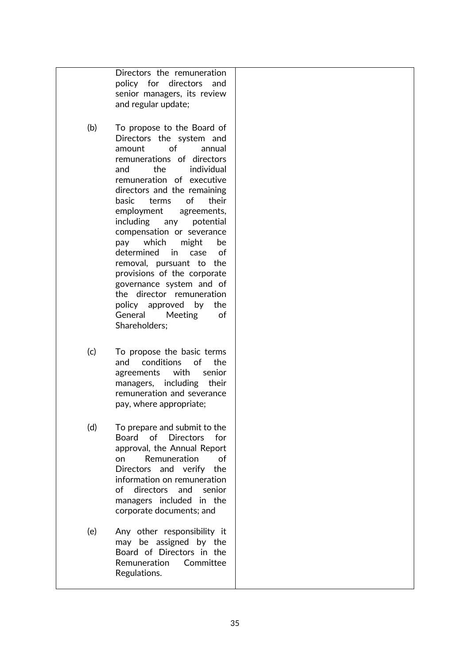Directors the remuneration policy for directors and senior managers, its review and regular update;

- (b) To propose to the Board of Directors the system and amount of annual remunerations of directors and the individual remuneration of executive directors and the remaining basic terms of their employment agreements, including any potential compensation or severance pay which might be determined in case of removal, pursuant to the provisions of the corporate governance system and of the director remuneration policy approved by the General Meeting of Shareholders;
- (c) To propose the basic terms and conditions of the agreements with senior managers, including their remuneration and severance pay, where appropriate;
- (d) To prepare and submit to the Board of Directors for approval, the Annual Report on Remuneration of Directors and verify the information on remuneration of directors and senior managers included in the corporate documents; and
- (e) Any other responsibility it may be assigned by the Board of Directors in the Remuneration Committee Regulations.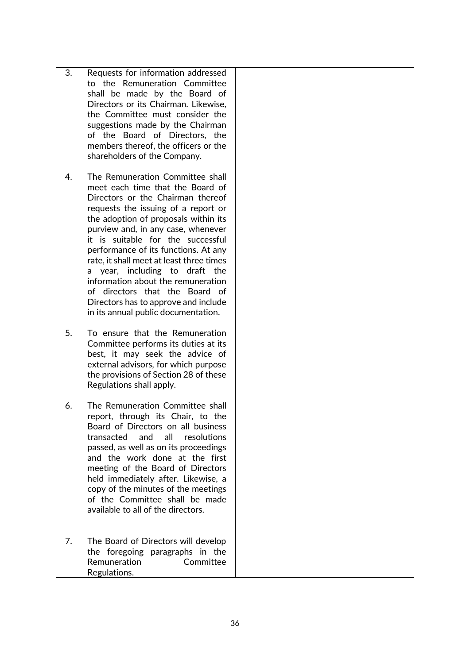- 3. Requests for information addressed to the Remuneration Committee shall be made by the Board of Directors or its Chairman. Likewise, the Committee must consider the suggestions made by the Chairman of the Board of Directors, the members thereof, the officers or the shareholders of the Company.
- 4. The Remuneration Committee shall meet each time that the Board of Directors or the Chairman thereof requests the issuing of a report or the adoption of proposals within its purview and, in any case, whenever it is suitable for the successful performance of its functions. At any rate, it shall meet at least three times a year, including to draft the information about the remuneration of directors that the Board of Directors has to approve and include in its annual public documentation.
- 5. To ensure that the Remuneration Committee performs its duties at its best, it may seek the advice of external advisors, for which purpose the provisions of Section 28 of these Regulations shall apply.
- 6. The Remuneration Committee shall report, through its Chair, to the Board of Directors on all business transacted and all resolutions passed, as well as on its proceedings and the work done at the first meeting of the Board of Directors held immediately after. Likewise, a copy of the minutes of the meetings of the Committee shall be made available to all of the directors.
- 7. The Board of Directors will develop the foregoing paragraphs in the Remuneration Committee Regulations.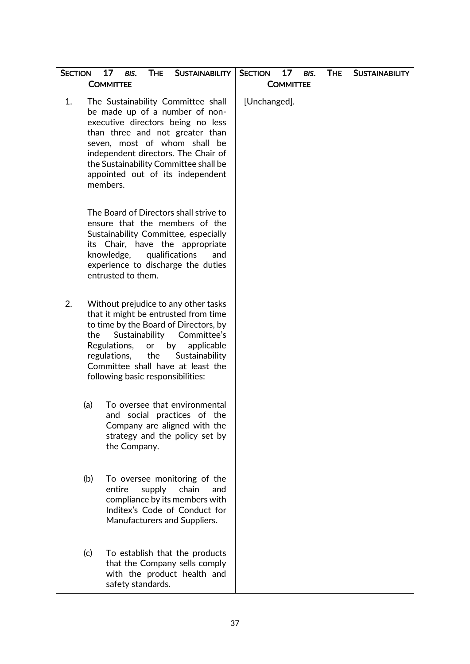| <b>SECTION</b> |     | 17<br><b>THE</b><br><b>SUSTAINABILITY</b><br>BIS.<br><b>COMMITTEE</b>                                                                                                                                                                                                                                               | 17<br><b>SECTION</b><br>BIS.<br><b>COMMITTEE</b> | <b>THE</b> | <b>SUSTAINABILITY</b> |
|----------------|-----|---------------------------------------------------------------------------------------------------------------------------------------------------------------------------------------------------------------------------------------------------------------------------------------------------------------------|--------------------------------------------------|------------|-----------------------|
| 1.             |     | The Sustainability Committee shall<br>be made up of a number of non-<br>executive directors being no less<br>than three and not greater than<br>seven, most of whom shall be<br>independent directors. The Chair of<br>the Sustainability Committee shall be<br>appointed out of its independent<br>members.        | [Unchanged].                                     |            |                       |
|                |     | The Board of Directors shall strive to<br>ensure that the members of the<br>Sustainability Committee, especially<br>its Chair, have the appropriate<br>qualifications<br>knowledge,<br>and<br>experience to discharge the duties<br>entrusted to them.                                                              |                                                  |            |                       |
| 2.             | the | Without prejudice to any other tasks<br>that it might be entrusted from time<br>to time by the Board of Directors, by<br>Sustainability<br>Committee's<br>Regulations,<br>by<br>applicable<br>or<br>the<br>regulations,<br>Sustainability<br>Committee shall have at least the<br>following basic responsibilities: |                                                  |            |                       |
|                | (a) | To oversee that environmental<br>and<br>social practices of the<br>Company are aligned with the<br>strategy and the policy set by<br>the Company.                                                                                                                                                                   |                                                  |            |                       |
|                | (b) | To oversee monitoring of the<br>entire<br>supply<br>chain<br>and<br>compliance by its members with<br>Inditex's Code of Conduct for<br>Manufacturers and Suppliers.                                                                                                                                                 |                                                  |            |                       |
|                | (c) | To establish that the products<br>that the Company sells comply<br>with the product health and<br>safety standards.                                                                                                                                                                                                 |                                                  |            |                       |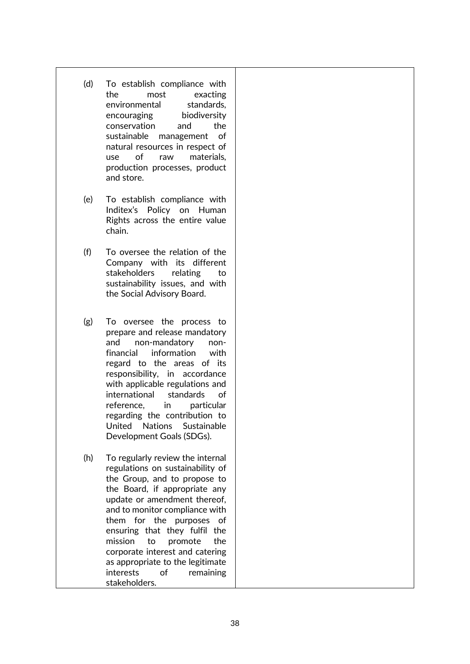- (d) To establish compliance with the most exacting environmental standards, encouraging biodiversity conservation and the sustainable management of natural resources in respect of use of raw materials, production processes, product and store.
- (e) To establish compliance with Inditex's Policy on Human Rights across the entire value chain.
- (f) To oversee the relation of the Company with its different stakeholders relating to sustainability issues, and with the Social Advisory Board.
- (g) To oversee the process to prepare and release mandatory and non-mandatory nonfinancial information with regard to the areas of its responsibility, in accordance with applicable regulations and international standards of reference, in particular regarding the contribution to United Nations Sustainable Development Goals (SDGs).
- (h) To regularly review the internal regulations on sustainability of the Group, and to propose to the Board, if appropriate any update or amendment thereof, and to monitor compliance with them for the purposes of ensuring that they fulfil the mission to promote the corporate interest and catering as appropriate to the legitimate interests of remaining stakeholders.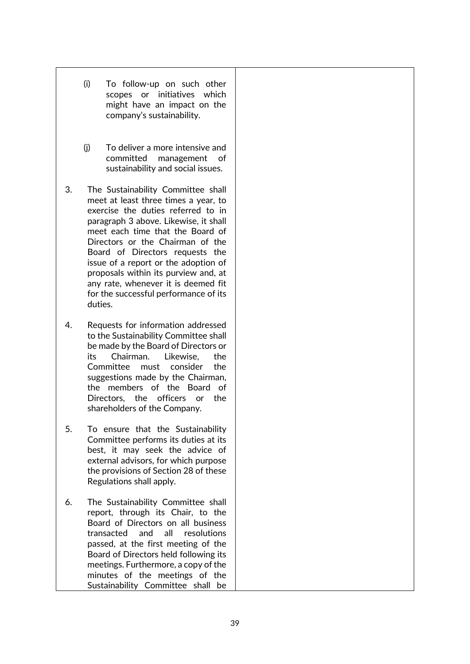- (i) To follow-up on such other scopes or initiatives which might have an impact on the company's sustainability.
- (j) To deliver a more intensive and committed management of sustainability and social issues.
- 3. The Sustainability Committee shall meet at least three times a year, to exercise the duties referred to in paragraph 3 above. Likewise, it shall meet each time that the Board of Directors or the Chairman of the Board of Directors requests the issue of a report or the adoption of proposals within its purview and, at any rate, whenever it is deemed fit for the successful performance of its duties.
- 4. Requests for information addressed to the Sustainability Committee shall be made by the Board of Directors or its Chairman. Likewise, the Committee must consider the suggestions made by the Chairman, the members of the Board of Directors, the officers or the shareholders of the Company.
- 5. To ensure that the Sustainability Committee performs its duties at its best, it may seek the advice of external advisors, for which purpose the provisions of Section 28 of these Regulations shall apply.
- 6. The Sustainability Committee shall report, through its Chair, to the Board of Directors on all business transacted and all resolutions passed, at the first meeting of the Board of Directors held following its meetings. Furthermore, a copy of the minutes of the meetings of the Sustainability Committee shall be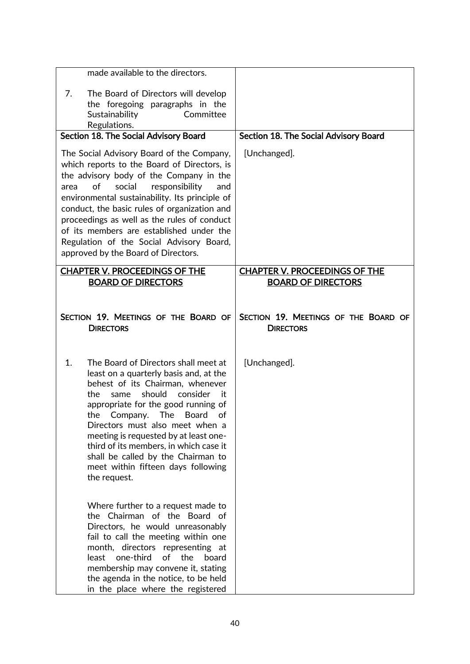|      | made available to the directors.                                                                                                                                                                                                                                                                                                                                                                                                                                                                              |                                                                                       |
|------|---------------------------------------------------------------------------------------------------------------------------------------------------------------------------------------------------------------------------------------------------------------------------------------------------------------------------------------------------------------------------------------------------------------------------------------------------------------------------------------------------------------|---------------------------------------------------------------------------------------|
| 7.   | The Board of Directors will develop<br>the foregoing paragraphs in the<br>Sustainability<br>Committee<br>Regulations.                                                                                                                                                                                                                                                                                                                                                                                         |                                                                                       |
|      | Section 18. The Social Advisory Board                                                                                                                                                                                                                                                                                                                                                                                                                                                                         | Section 18. The Social Advisory Board                                                 |
| area | The Social Advisory Board of the Company,<br>which reports to the Board of Directors, is<br>the advisory body of the Company in the<br>of<br>social<br>responsibility<br>and<br>environmental sustainability. Its principle of<br>conduct, the basic rules of organization and<br>proceedings as well as the rules of conduct<br>of its members are established under the<br>Regulation of the Social Advisory Board,<br>approved by the Board of Directors.                                                  | [Unchanged].                                                                          |
|      | <b>CHAPTER V. PROCEEDINGS OF THE</b>                                                                                                                                                                                                                                                                                                                                                                                                                                                                          | <b>CHAPTER V. PROCEEDINGS OF THE</b>                                                  |
|      | <b>BOARD OF DIRECTORS</b><br>SECTION 19. MEETINGS OF THE BOARD OF<br><b>DIRECTORS</b>                                                                                                                                                                                                                                                                                                                                                                                                                         | <b>BOARD OF DIRECTORS</b><br>SECTION 19. MEETINGS OF THE BOARD OF<br><b>DIRECTORS</b> |
| 1.   | The Board of Directors shall meet at<br>least on a quarterly basis and, at the<br>behest of its Chairman, whenever<br>should<br>the<br>consider<br>same<br>it.<br>appropriate for the good running of<br>The<br><b>Board</b><br>of<br>the<br>Company.<br>Directors must also meet when a<br>meeting is requested by at least one-<br>third of its members, in which case it<br>shall be called by the Chairman to<br>meet within fifteen days following<br>the request.<br>Where further to a request made to | [Unchanged].                                                                          |
|      | the Chairman of the Board of<br>Directors, he would unreasonably<br>fail to call the meeting within one<br>month, directors representing at<br>one-third<br>the<br>least<br>of<br>board<br>membership may convene it, stating<br>the agenda in the notice, to be held<br>in the place where the registered                                                                                                                                                                                                    |                                                                                       |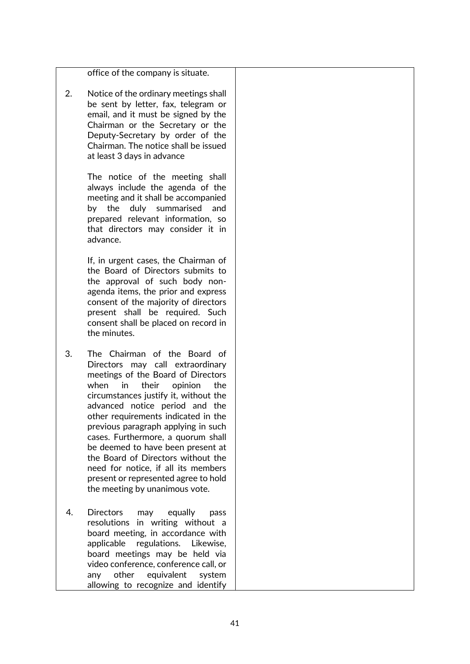office of the company is situate. 2. Notice of the ordinary meetings shall be sent by letter, fax, telegram or email, and it must be signed by the Chairman or the Secretary or the Deputy-Secretary by order of the Chairman. The notice shall be issued at least 3 days in advance The notice of the meeting shall always include the agenda of the meeting and it shall be accompanied by the duly summarised and prepared relevant information, so that directors may consider it in advance. If, in urgent cases, the Chairman of the Board of Directors submits to the approval of such body nonagenda items, the prior and express consent of the majority of directors present shall be required. Such consent shall be placed on record in the minutes. 3. The Chairman of the Board of Directors may call extraordinary meetings of the Board of Directors when in their opinion the circumstances justify it, without the advanced notice period and the other requirements indicated in the previous paragraph applying in such cases. Furthermore, a quorum shall be deemed to have been present at the Board of Directors without the need for notice, if all its members present or represented agree to hold the meeting by unanimous vote. 4. Directors may equally pass resolutions in writing without a board meeting, in accordance with applicable regulations. Likewise, board meetings may be held via video conference, conference call, or any other equivalent system allowing to recognize and identify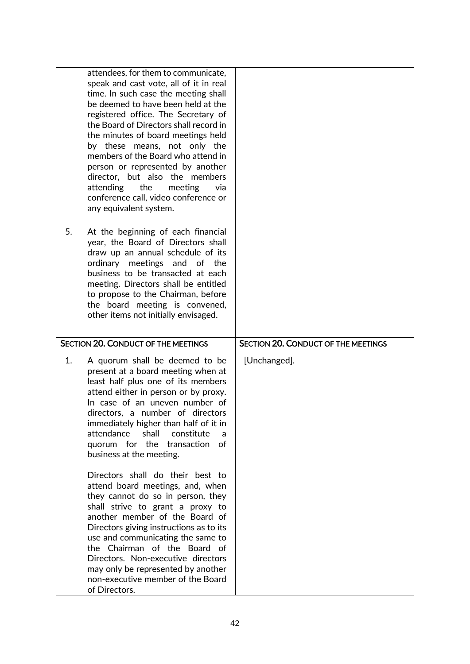|    | attendees, for them to communicate,<br>speak and cast vote, all of it in real<br>time. In such case the meeting shall<br>be deemed to have been held at the<br>registered office. The Secretary of<br>the Board of Directors shall record in<br>the minutes of board meetings held<br>by these means, not only the<br>members of the Board who attend in<br>person or represented by another<br>director, but also the members<br>the<br>attending<br>meeting<br>via<br>conference call, video conference or<br>any equivalent system. |                                            |
|----|----------------------------------------------------------------------------------------------------------------------------------------------------------------------------------------------------------------------------------------------------------------------------------------------------------------------------------------------------------------------------------------------------------------------------------------------------------------------------------------------------------------------------------------|--------------------------------------------|
| 5. | At the beginning of each financial<br>year, the Board of Directors shall<br>draw up an annual schedule of its<br>ordinary meetings and of the<br>business to be transacted at each<br>meeting. Directors shall be entitled<br>to propose to the Chairman, before<br>the board meeting is convened,<br>other items not initially envisaged.                                                                                                                                                                                             |                                            |
|    | <b>SECTION 20. CONDUCT OF THE MEETINGS</b>                                                                                                                                                                                                                                                                                                                                                                                                                                                                                             | <b>SECTION 20. CONDUCT OF THE MEETINGS</b> |
| 1. | A quorum shall be deemed to be<br>present at a board meeting when at<br>least half plus one of its members<br>attend either in person or by proxy.<br>In case of an uneven number of<br>directors, a number of directors<br>immediately higher than half of it in<br>attendance<br>shall<br>constitute<br>a<br>quorum for the transaction<br>of<br>business at the meeting.                                                                                                                                                            | [Unchanged].                               |
|    | Directors shall do their best to<br>attend board meetings, and, when<br>they cannot do so in person, they<br>shall strive to grant a proxy to<br>another member of the Board of<br>Directors giving instructions as to its<br>use and communicating the same to<br>the Chairman of the Board of<br>Directors. Non-executive directors<br>may only be represented by another<br>non-executive member of the Board<br>of Directors.                                                                                                      |                                            |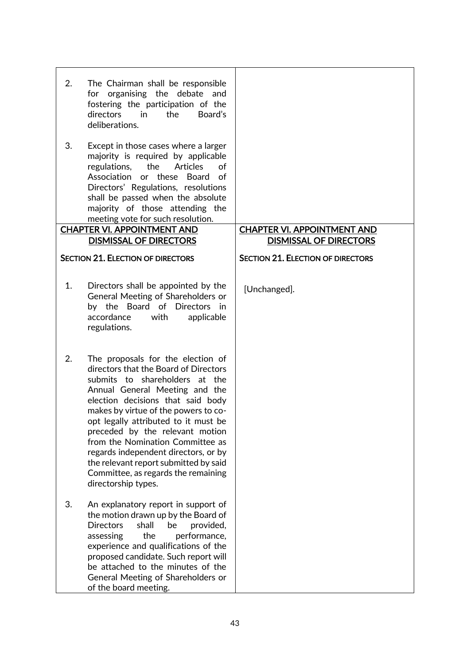| 2. | The Chairman shall be responsible<br>for organising the debate and<br>fostering the participation of the<br>Board's<br>directors<br>$\overline{\mathsf{in}}$<br>the<br>deliberations.                                                                                                                                                                                                                                                                                                     |                                                                     |
|----|-------------------------------------------------------------------------------------------------------------------------------------------------------------------------------------------------------------------------------------------------------------------------------------------------------------------------------------------------------------------------------------------------------------------------------------------------------------------------------------------|---------------------------------------------------------------------|
| 3. | Except in those cases where a larger<br>majority is required by applicable<br>the<br>Articles<br>regulations,<br>οf<br>or these Board<br>Association<br>of<br>Directors' Regulations, resolutions<br>shall be passed when the absolute<br>majority of those attending the<br>meeting vote for such resolution.                                                                                                                                                                            |                                                                     |
|    | <b>CHAPTER VI. APPOINTMENT AND</b><br><b>DISMISSAL OF DIRECTORS</b>                                                                                                                                                                                                                                                                                                                                                                                                                       | <b>CHAPTER VI. APPOINTMENT AND</b><br><b>DISMISSAL OF DIRECTORS</b> |
|    | <b>SECTION 21. ELECTION OF DIRECTORS</b>                                                                                                                                                                                                                                                                                                                                                                                                                                                  | <b>SECTION 21. ELECTION OF DIRECTORS</b>                            |
|    |                                                                                                                                                                                                                                                                                                                                                                                                                                                                                           |                                                                     |
| 1. | Directors shall be appointed by the<br>General Meeting of Shareholders or<br>by the Board of Directors<br>in<br>accordance<br>with<br>applicable<br>regulations.                                                                                                                                                                                                                                                                                                                          | [Unchanged].                                                        |
| 2. | The proposals for the election of<br>directors that the Board of Directors<br>submits to shareholders at the<br>Annual General Meeting and the<br>election decisions that said body<br>makes by virtue of the powers to co-<br>opt legally attributed to it must be<br>preceded by the relevant motion<br>from the Nomination Committee as<br>regards independent directors, or by<br>the relevant report submitted by said<br>Committee, as regards the remaining<br>directorship types. |                                                                     |
| 3. | An explanatory report in support of<br>the motion drawn up by the Board of<br><b>Directors</b><br>shall<br>be<br>provided,<br>assessing<br>the<br>performance,<br>experience and qualifications of the<br>proposed candidate. Such report will<br>be attached to the minutes of the<br>General Meeting of Shareholders or<br>of the board meeting.                                                                                                                                        |                                                                     |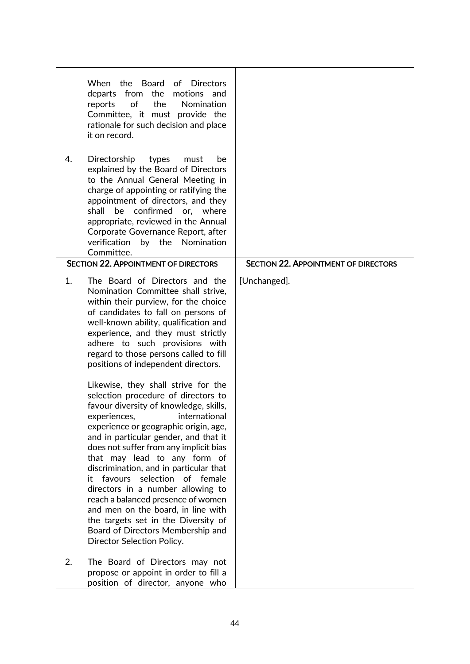| 4. | Board<br>of Directors<br>When the<br>departs from<br>the<br>motions and<br>of<br>the<br>Nomination<br>reports<br>Committee, it must provide the<br>rationale for such decision and place<br>it on record.<br>Directorship<br>types<br>must<br>be<br>explained by the Board of Directors<br>to the Annual General Meeting in<br>charge of appointing or ratifying the<br>appointment of directors, and they<br>confirmed or, where<br>shall<br>be<br>appropriate, reviewed in the Annual<br>Corporate Governance Report, after                                                                                                                                                                                                                                                                                                                                                                                                                                                              |                                             |
|----|--------------------------------------------------------------------------------------------------------------------------------------------------------------------------------------------------------------------------------------------------------------------------------------------------------------------------------------------------------------------------------------------------------------------------------------------------------------------------------------------------------------------------------------------------------------------------------------------------------------------------------------------------------------------------------------------------------------------------------------------------------------------------------------------------------------------------------------------------------------------------------------------------------------------------------------------------------------------------------------------|---------------------------------------------|
|    | by the Nomination<br>verification<br>Committee.                                                                                                                                                                                                                                                                                                                                                                                                                                                                                                                                                                                                                                                                                                                                                                                                                                                                                                                                            |                                             |
|    | <b>SECTION 22. APPOINTMENT OF DIRECTORS</b>                                                                                                                                                                                                                                                                                                                                                                                                                                                                                                                                                                                                                                                                                                                                                                                                                                                                                                                                                | <b>SECTION 22. APPOINTMENT OF DIRECTORS</b> |
| 1. | The Board of Directors and the<br>Nomination Committee shall strive,<br>within their purview, for the choice<br>of candidates to fall on persons of<br>well-known ability, qualification and<br>experience, and they must strictly<br>adhere to such provisions with<br>regard to those persons called to fill<br>positions of independent directors.<br>Likewise, they shall strive for the<br>selection procedure of directors to<br>favour diversity of knowledge, skills,<br>experiences,<br>international<br>experience or geographic origin, age,<br>and in particular gender, and that it<br>does not suffer from any implicit bias<br>that may lead to any form of<br>discrimination, and in particular that<br>favours<br>selection<br>of female<br>it<br>directors in a number allowing to<br>reach a balanced presence of women<br>and men on the board, in line with<br>the targets set in the Diversity of<br>Board of Directors Membership and<br>Director Selection Policy. | [Unchanged].                                |
| 2. | The Board of Directors may not<br>propose or appoint in order to fill a<br>position of director, anyone who                                                                                                                                                                                                                                                                                                                                                                                                                                                                                                                                                                                                                                                                                                                                                                                                                                                                                |                                             |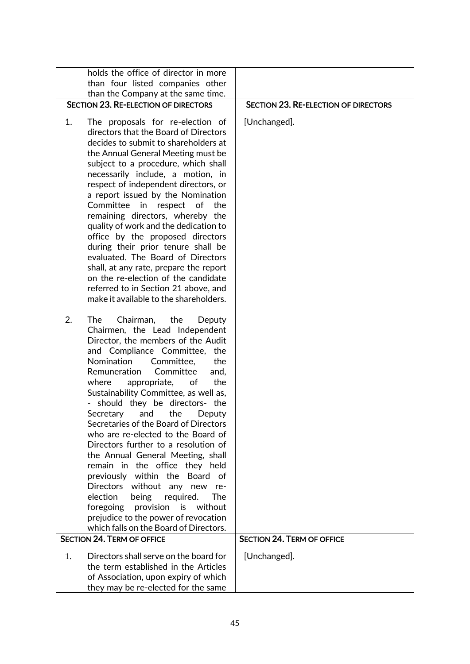| holds the office of director in more                                            |                                             |
|---------------------------------------------------------------------------------|---------------------------------------------|
| than four listed companies other<br>than the Company at the same time.          |                                             |
| <b>SECTION 23. RE-ELECTION OF DIRECTORS</b>                                     | <b>SECTION 23. RE-ELECTION OF DIRECTORS</b> |
| 1.<br>The proposals for re-election of                                          | [Unchanged].                                |
| directors that the Board of Directors                                           |                                             |
| decides to submit to shareholders at                                            |                                             |
| the Annual General Meeting must be                                              |                                             |
| subject to a procedure, which shall                                             |                                             |
| necessarily include, a motion, in<br>respect of independent directors, or       |                                             |
| a report issued by the Nomination                                               |                                             |
| Committee<br>in respect of<br>the                                               |                                             |
| remaining directors, whereby the                                                |                                             |
| quality of work and the dedication to                                           |                                             |
| office by the proposed directors                                                |                                             |
| during their prior tenure shall be<br>evaluated. The Board of Directors         |                                             |
| shall, at any rate, prepare the report                                          |                                             |
| on the re-election of the candidate                                             |                                             |
| referred to in Section 21 above, and                                            |                                             |
| make it available to the shareholders.                                          |                                             |
| 2.<br><b>The</b><br>Chairman,<br>the<br>Deputy                                  |                                             |
| Chairmen, the Lead Independent                                                  |                                             |
| Director, the members of the Audit                                              |                                             |
| and Compliance Committee,<br>the                                                |                                             |
| Nomination<br>Committee,<br>the<br>Remuneration<br>Committee                    |                                             |
| and,<br>where<br>appropriate,<br>the<br>оf                                      |                                             |
| Sustainability Committee, as well as,                                           |                                             |
| should they be directors- the                                                   |                                             |
| the<br>Secretary<br>and<br>Deputy                                               |                                             |
| Secretaries of the Board of Directors                                           |                                             |
| who are re-elected to the Board of<br>Directors further to a resolution of      |                                             |
| the Annual General Meeting, shall                                               |                                             |
| remain in the office they held                                                  |                                             |
| previously within the Board<br>of                                               |                                             |
| Directors<br>without any new<br>re-                                             |                                             |
| required.<br>election<br>being<br>The                                           |                                             |
| provision<br>foregoing<br>is<br>without<br>prejudice to the power of revocation |                                             |
| which falls on the Board of Directors.                                          |                                             |
| <b>SECTION 24. TERM OF OFFICE</b>                                               | <b>SECTION 24. TERM OF OFFICE</b>           |
| Directors shall serve on the board for<br>1.                                    | [Unchanged].                                |
| the term established in the Articles                                            |                                             |
| of Association, upon expiry of which                                            |                                             |
| they may be re-elected for the same                                             |                                             |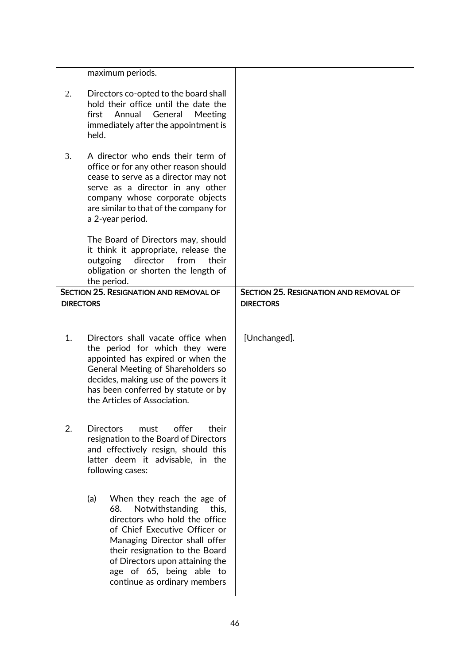|                  | maximum periods.                                                                                                                                                                                                                                                                                         |                                                                   |
|------------------|----------------------------------------------------------------------------------------------------------------------------------------------------------------------------------------------------------------------------------------------------------------------------------------------------------|-------------------------------------------------------------------|
| 2.               | Directors co-opted to the board shall<br>hold their office until the date the<br>Annual<br>General<br>Meeting<br>first<br>immediately after the appointment is<br>held.                                                                                                                                  |                                                                   |
| 3.               | A director who ends their term of<br>office or for any other reason should<br>cease to serve as a director may not<br>serve as a director in any other<br>company whose corporate objects<br>are similar to that of the company for<br>a 2-year period.                                                  |                                                                   |
|                  | The Board of Directors may, should<br>it think it appropriate, release the<br>director<br>outgoing<br>from<br>their<br>obligation or shorten the length of<br>the period.                                                                                                                                |                                                                   |
| <b>DIRECTORS</b> | <b>SECTION 25. RESIGNATION AND REMOVAL OF</b>                                                                                                                                                                                                                                                            | <b>SECTION 25. RESIGNATION AND REMOVAL OF</b><br><b>DIRECTORS</b> |
|                  |                                                                                                                                                                                                                                                                                                          |                                                                   |
| 1.               | Directors shall vacate office when<br>the period for which they were<br>appointed has expired or when the<br>General Meeting of Shareholders so<br>decides, making use of the powers it<br>has been conferred by statute or by<br>the Articles of Association.                                           | [Unchanged].                                                      |
| 2.               | offer<br><b>Directors</b><br>must<br>their<br>resignation to the Board of Directors<br>and effectively resign, should this<br>latter deem it advisable, in the<br>following cases:                                                                                                                       |                                                                   |
|                  | (a)<br>When they reach the age of<br>68.<br>Notwithstanding<br>this,<br>directors who hold the office<br>of Chief Executive Officer or<br>Managing Director shall offer<br>their resignation to the Board<br>of Directors upon attaining the<br>age of 65, being able to<br>continue as ordinary members |                                                                   |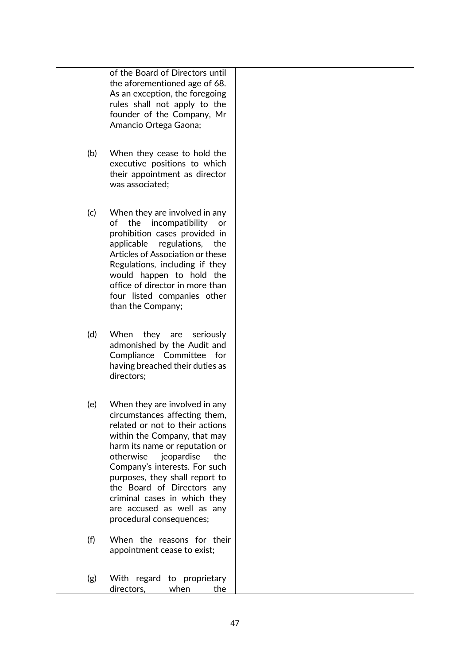of the Board of Directors until the aforementioned age of 68. As an exception, the foregoing rules shall not apply to the founder of the Company, Mr Amancio Ortega Gaona;

- (b) When they cease to hold the executive positions to which their appointment as director was associated;
- (c) When they are involved in any of the incompatibility or prohibition cases provided in applicable regulations, the Articles of Association or these Regulations, including if they would happen to hold the office of director in more than four listed companies other than the Company;
- (d) When they are seriously admonished by the Audit and Compliance Committee for having breached their duties as directors;
- (e) When they are involved in any circumstances affecting them, related or not to their actions within the Company, that may harm its name or reputation or otherwise jeopardise the Company's interests. For such purposes, they shall report to the Board of Directors any criminal cases in which they are accused as well as any procedural consequences;
- (f) When the reasons for their appointment cease to exist;
- (g) With regard to proprietary directors, when the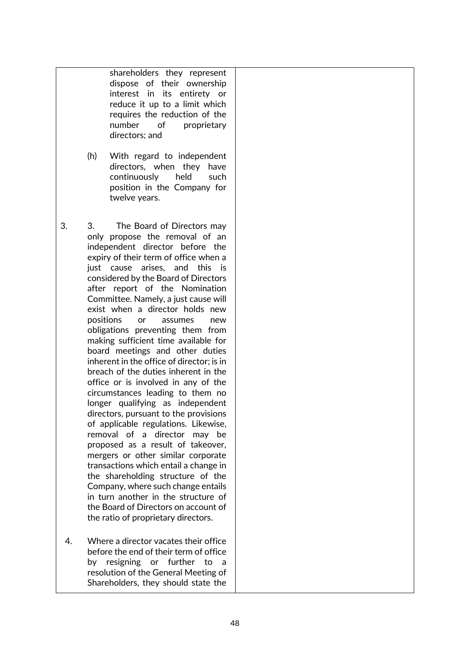shareholders they represent dispose of their ownership interest in its entirety or reduce it up to a limit which requires the reduction of the number of proprietary directors; and

- (h) With regard to independent directors, when they have continuously held such position in the Company for twelve years.
- 3. 3. The Board of Directors may only propose the removal of an independent director before the expiry of their term of office when a just cause arises, and this is considered by the Board of Directors after report of the Nomination Committee. Namely, a just cause will exist when a director holds new positions or assumes new obligations preventing them from making sufficient time available for board meetings and other duties inherent in the office of director; is in breach of the duties inherent in the office or is involved in any of the circumstances leading to them no longer qualifying as independent directors, pursuant to the provisions of applicable regulations. Likewise, removal of a director may be proposed as a result of takeover, mergers or other similar corporate transactions which entail a change in the shareholding structure of the Company, where such change entails in turn another in the structure of the Board of Directors on account of the ratio of proprietary directors.
- 4. Where a director vacates their office before the end of their term of office by resigning or further to a resolution of the General Meeting of Shareholders, they should state the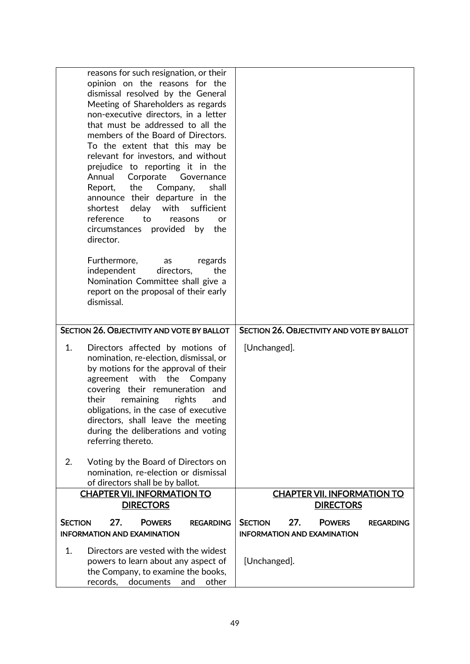| reasons for such resignation, or their<br>opinion on the reasons for the<br>dismissal resolved by the General<br>Meeting of Shareholders as regards<br>non-executive directors, in a letter<br>that must be addressed to all the<br>members of the Board of Directors.<br>To the extent that this may be<br>relevant for investors, and without<br>prejudice to reporting it in the<br>Annual<br>Corporate Governance<br>the<br>Company,<br>shall<br>Report,<br>announce their departure in the<br>sufficient<br>shortest<br>delay<br>with<br>reference<br>to<br>reasons<br>or<br>circumstances provided by<br>the<br>director.<br>Furthermore,<br>regards<br>as<br>independent<br>directors,<br>the<br>Nomination Committee shall give a<br>report on the proposal of their early<br>dismissal. |                                                                                                  |
|--------------------------------------------------------------------------------------------------------------------------------------------------------------------------------------------------------------------------------------------------------------------------------------------------------------------------------------------------------------------------------------------------------------------------------------------------------------------------------------------------------------------------------------------------------------------------------------------------------------------------------------------------------------------------------------------------------------------------------------------------------------------------------------------------|--------------------------------------------------------------------------------------------------|
| SECTION 26. OBJECTIVITY AND VOTE BY BALLOT                                                                                                                                                                                                                                                                                                                                                                                                                                                                                                                                                                                                                                                                                                                                                       | SECTION 26. OBJECTIVITY AND VOTE BY BALLOT                                                       |
|                                                                                                                                                                                                                                                                                                                                                                                                                                                                                                                                                                                                                                                                                                                                                                                                  |                                                                                                  |
| Directors affected by motions of<br>1.<br>nomination, re-election, dismissal, or<br>by motions for the approval of their<br>agreement<br>with<br>the<br>Company<br>covering their remuneration and<br>their<br>remaining<br>rights<br>and<br>obligations, in the case of executive<br>directors, shall leave the meeting<br>during the deliberations and voting<br>referring thereto.                                                                                                                                                                                                                                                                                                                                                                                                            | [Unchanged].                                                                                     |
| 2.<br>Voting by the Board of Directors on<br>nomination, re-election or dismissal<br>of directors shall be by ballot.                                                                                                                                                                                                                                                                                                                                                                                                                                                                                                                                                                                                                                                                            |                                                                                                  |
| <b>CHAPTER VII. INFORMATION TO</b>                                                                                                                                                                                                                                                                                                                                                                                                                                                                                                                                                                                                                                                                                                                                                               | <b>CHAPTER VII. INFORMATION TO</b>                                                               |
| <b>DIRECTORS</b>                                                                                                                                                                                                                                                                                                                                                                                                                                                                                                                                                                                                                                                                                                                                                                                 | <b>DIRECTORS</b>                                                                                 |
| 27.<br><b>SECTION</b><br><b>POWERS</b><br><b>REGARDING</b><br><b>INFORMATION AND EXAMINATION</b>                                                                                                                                                                                                                                                                                                                                                                                                                                                                                                                                                                                                                                                                                                 | 27.<br><b>SECTION</b><br><b>POWERS</b><br><b>REGARDING</b><br><b>INFORMATION AND EXAMINATION</b> |
| Directors are vested with the widest<br>1.<br>powers to learn about any aspect of<br>the Company, to examine the books,<br>documents<br>records,<br>other<br>and                                                                                                                                                                                                                                                                                                                                                                                                                                                                                                                                                                                                                                 | [Unchanged].                                                                                     |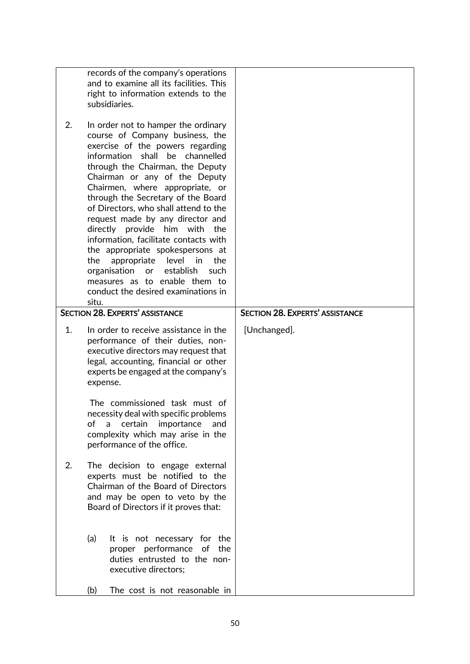|    | records of the company's operations<br>and to examine all its facilities. This<br>right to information extends to the<br>subsidiaries.                                                                                                                                                                                                                                                                                                                                                                                                                                                                                                                            |                                        |
|----|-------------------------------------------------------------------------------------------------------------------------------------------------------------------------------------------------------------------------------------------------------------------------------------------------------------------------------------------------------------------------------------------------------------------------------------------------------------------------------------------------------------------------------------------------------------------------------------------------------------------------------------------------------------------|----------------------------------------|
| 2. | In order not to hamper the ordinary<br>course of Company business, the<br>exercise of the powers regarding<br>information<br>shall be channelled<br>through the Chairman, the Deputy<br>Chairman or any of the Deputy<br>Chairmen, where appropriate, or<br>through the Secretary of the Board<br>of Directors, who shall attend to the<br>request made by any director and<br>directly provide him with<br>the<br>information, facilitate contacts with<br>the appropriate spokespersons at<br>level in<br>the<br>appropriate<br>the<br>organisation<br>establish<br>such<br>or<br>measures as to enable them to<br>conduct the desired examinations in<br>situ. |                                        |
|    | <b>SECTION 28. EXPERTS' ASSISTANCE</b>                                                                                                                                                                                                                                                                                                                                                                                                                                                                                                                                                                                                                            | <b>SECTION 28. EXPERTS' ASSISTANCE</b> |
| 1. | In order to receive assistance in the<br>performance of their duties, non-<br>executive directors may request that<br>legal, accounting, financial or other<br>experts be engaged at the company's<br>expense.                                                                                                                                                                                                                                                                                                                                                                                                                                                    | [Unchanged].                           |
|    | The commissioned task must of<br>necessity deal with specific problems<br>of<br>certain<br>importance<br>and<br>a<br>complexity which may arise in the<br>performance of the office.                                                                                                                                                                                                                                                                                                                                                                                                                                                                              |                                        |
| 2. | The decision to engage external<br>experts must be notified to the<br>Chairman of the Board of Directors<br>and may be open to veto by the<br>Board of Directors if it proves that:                                                                                                                                                                                                                                                                                                                                                                                                                                                                               |                                        |
|    | (a)<br>It is not necessary for the<br>proper performance of<br>the<br>duties entrusted to the non-<br>executive directors;                                                                                                                                                                                                                                                                                                                                                                                                                                                                                                                                        |                                        |
|    | (b)<br>The cost is not reasonable in                                                                                                                                                                                                                                                                                                                                                                                                                                                                                                                                                                                                                              |                                        |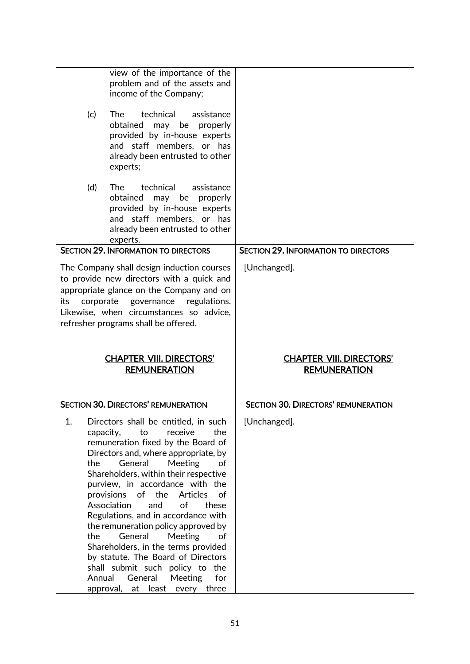|                  | view of the importance of the<br>problem and of the assets and                          |                                             |
|------------------|-----------------------------------------------------------------------------------------|---------------------------------------------|
|                  | income of the Company;                                                                  |                                             |
|                  |                                                                                         |                                             |
| (c)              | technical<br>The<br>assistance                                                          |                                             |
|                  | obtained may<br>be properly<br>provided by in-house experts                             |                                             |
|                  | and staff members, or has                                                               |                                             |
|                  | already been entrusted to other                                                         |                                             |
|                  | experts;                                                                                |                                             |
| (d)              | The T<br>technical<br>assistance                                                        |                                             |
|                  | obtained<br>may<br>properly<br>be                                                       |                                             |
|                  | provided by in-house experts                                                            |                                             |
|                  | and staff members, or has                                                               |                                             |
|                  | already been entrusted to other                                                         |                                             |
|                  | experts.<br><b>SECTION 29. INFORMATION TO DIRECTORS</b>                                 | <b>SECTION 29. INFORMATION TO DIRECTORS</b> |
|                  |                                                                                         |                                             |
|                  | The Company shall design induction courses<br>to provide new directors with a quick and | [Unchanged].                                |
|                  | appropriate glance on the Company and on                                                |                                             |
| its<br>corporate | governance<br>regulations.                                                              |                                             |
|                  | Likewise, when circumstances so advice,                                                 |                                             |
|                  | refresher programs shall be offered.                                                    |                                             |
|                  |                                                                                         |                                             |
|                  |                                                                                         |                                             |
|                  |                                                                                         |                                             |
|                  | <b>CHAPTER VIII. DIRECTORS'</b>                                                         | <b>CHAPTER VIII. DIRECTORS'</b>             |
|                  | <b>REMUNERATION</b>                                                                     | <b>REMUNERATION</b>                         |
|                  |                                                                                         |                                             |
|                  | <b>SECTION 30. DIRECTORS' REMUNERATION</b>                                              | <b>SECTION 30. DIRECTORS' REMUNERATION</b>  |
| 1.               | Directors shall be entitled, in such                                                    | [Unchanged].                                |
| capacity,        | to<br>receive<br>the                                                                    |                                             |
|                  | remuneration fixed by the Board of                                                      |                                             |
|                  | Directors and, where appropriate, by                                                    |                                             |
| the              | General<br>Meeting<br>of<br>Shareholders, within their respective                       |                                             |
|                  | purview, in accordance with the                                                         |                                             |
|                  | the<br>Articles<br>provisions<br>of<br>of                                               |                                             |
|                  | Association<br>of<br>and<br>these                                                       |                                             |
|                  | Regulations, and in accordance with<br>the remuneration policy approved by              |                                             |
| the              | General<br>Meeting<br>оf                                                                |                                             |
|                  | Shareholders, in the terms provided                                                     |                                             |
|                  | by statute. The Board of Directors                                                      |                                             |
| Annual           | shall submit such policy to the<br>General<br><b>Meeting</b><br>for                     |                                             |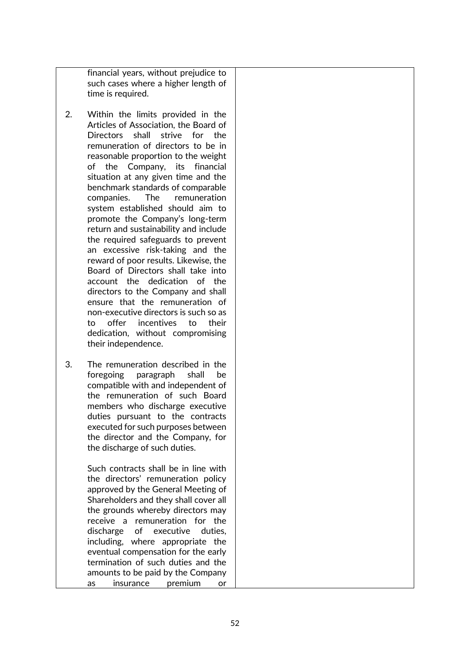financial years, without prejudice to such cases where a higher length of time is required.

- 2. Within the limits provided in the Articles of Association, the Board of Directors shall strive for the remuneration of directors to be in reasonable proportion to the weight of the Company, its financial situation at any given time and the benchmark standards of comparable companies. The remuneration system established should aim to promote the Company's long-term return and sustainability and include the required safeguards to prevent an excessive risk-taking and the reward of poor results. Likewise, the Board of Directors shall take into account the dedication of the directors to the Company and shall ensure that the remuneration of non-executive directors is such so as to offer incentives to their dedication, without compromising their independence.
- 3. The remuneration described in the foregoing paragraph shall be compatible with and independent of the remuneration of such Board members who discharge executive duties pursuant to the contracts executed for such purposes between the director and the Company, for the discharge of such duties.

Such contracts shall be in line with the directors' remuneration policy approved by the General Meeting of Shareholders and they shall cover all the grounds whereby directors may receive a remuneration for the discharge of executive duties, including, where appropriate the eventual compensation for the early termination of such duties and the amounts to be paid by the Company as insurance premium or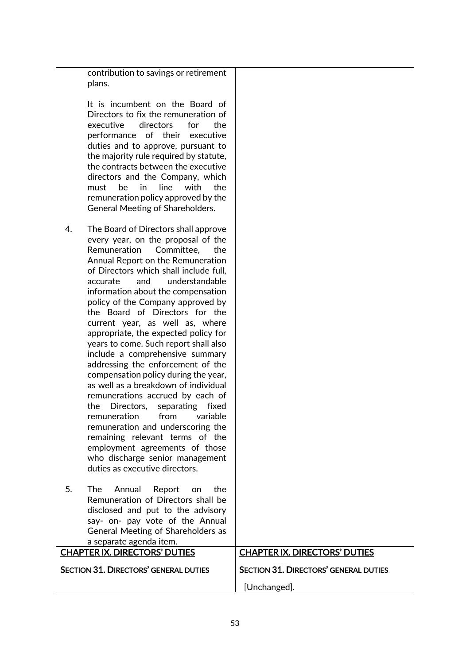| contribution to savings or retirement<br>plans.                                                                                                                                                                                                                                                                                                                                                                                                                                                                                                                                                                                                                                                                                                                                                                                                                                                                                    |                                              |
|------------------------------------------------------------------------------------------------------------------------------------------------------------------------------------------------------------------------------------------------------------------------------------------------------------------------------------------------------------------------------------------------------------------------------------------------------------------------------------------------------------------------------------------------------------------------------------------------------------------------------------------------------------------------------------------------------------------------------------------------------------------------------------------------------------------------------------------------------------------------------------------------------------------------------------|----------------------------------------------|
| It is incumbent on the Board of<br>Directors to fix the remuneration of<br>executive<br>directors<br>the<br>for<br>performance of their<br>executive<br>duties and to approve, pursuant to<br>the majority rule required by statute,<br>the contracts between the executive<br>directors and the Company, which<br>in<br>line<br>with<br><sub>be</sub><br>the<br>must<br>remuneration policy approved by the<br>General Meeting of Shareholders.                                                                                                                                                                                                                                                                                                                                                                                                                                                                                   |                                              |
| The Board of Directors shall approve<br>4.<br>every year, on the proposal of the<br>Remuneration<br>Committee,<br>the<br>Annual Report on the Remuneration<br>of Directors which shall include full,<br>understandable<br>accurate<br>and<br>information about the compensation<br>policy of the Company approved by<br>the Board of Directors for the<br>current year, as well as, where<br>appropriate, the expected policy for<br>years to come. Such report shall also<br>include a comprehensive summary<br>addressing the enforcement of the<br>compensation policy during the year,<br>as well as a breakdown of individual<br>remunerations accrued by each of<br>Directors,<br>the<br>separating<br>fixed<br>remuneration from<br>variable<br>remuneration and underscoring the<br>remaining relevant terms of the<br>employment agreements of those<br>who discharge senior management<br>duties as executive directors. |                                              |
| 5.<br>The<br>the<br>Annual Report<br>on<br>Remuneration of Directors shall be<br>disclosed and put to the advisory<br>say- on- pay vote of the Annual<br>General Meeting of Shareholders as<br>a separate agenda item.                                                                                                                                                                                                                                                                                                                                                                                                                                                                                                                                                                                                                                                                                                             |                                              |
| <b>CHAPTER IX. DIRECTORS' DUTIES</b>                                                                                                                                                                                                                                                                                                                                                                                                                                                                                                                                                                                                                                                                                                                                                                                                                                                                                               | <b>CHAPTER IX. DIRECTORS' DUTIES</b>         |
| <b>SECTION 31. DIRECTORS' GENERAL DUTIES</b>                                                                                                                                                                                                                                                                                                                                                                                                                                                                                                                                                                                                                                                                                                                                                                                                                                                                                       | <b>SECTION 31. DIRECTORS' GENERAL DUTIES</b> |
|                                                                                                                                                                                                                                                                                                                                                                                                                                                                                                                                                                                                                                                                                                                                                                                                                                                                                                                                    | [Unchanged].                                 |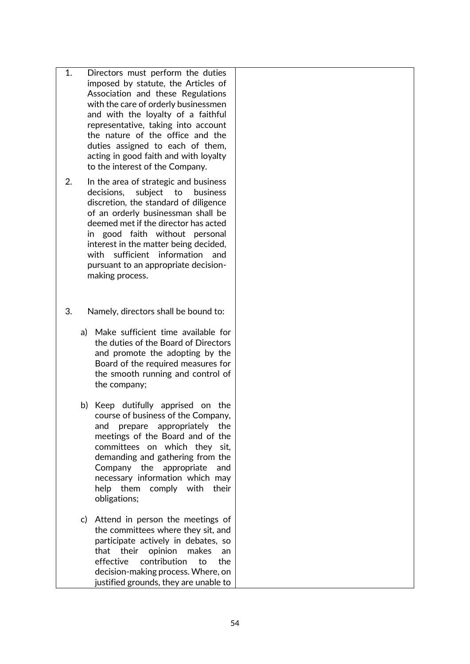- 1. Directors must perform the duties imposed by statute, the Articles of Association and these Regulations with the care of orderly businessmen and with the loyalty of a faithful representative, taking into account the nature of the office and the duties assigned to each of them, acting in good faith and with loyalty to the interest of the Company.
- 2. In the area of strategic and business decisions, subject to business discretion, the standard of diligence of an orderly businessman shall be deemed met if the director has acted in good faith without personal interest in the matter being decided, with sufficient information and pursuant to an appropriate decisionmaking process.
- 3. Namely, directors shall be bound to:
	- a) Make sufficient time available for the duties of the Board of Directors and promote the adopting by the Board of the required measures for the smooth running and control of the company;
	- b) Keep dutifully apprised on the course of business of the Company, and prepare appropriately the meetings of the Board and of the committees on which they sit, demanding and gathering from the Company the appropriate and necessary information which may help them comply with their obligations;
	- c) Attend in person the meetings of the committees where they sit, and participate actively in debates, so that their opinion makes an effective contribution to the decision-making process. Where, on justified grounds, they are unable to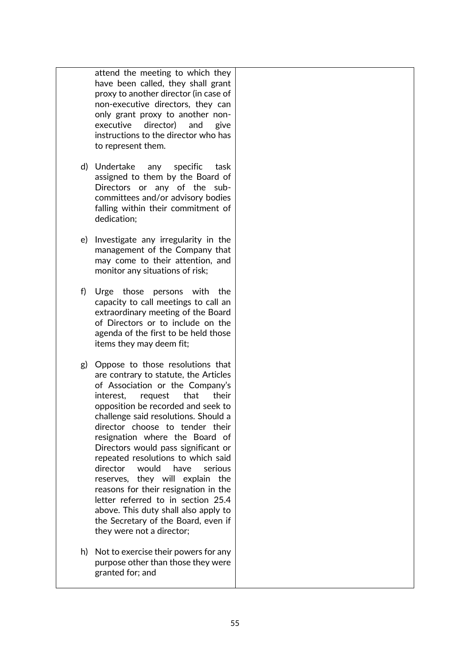attend the meeting to which they have been called, they shall grant proxy to another director (in case of non-executive directors, they can only grant proxy to another nonexecutive director) and give instructions to the director who has to represent them.

- d) Undertake any specific task assigned to them by the Board of Directors or any of the subcommittees and/or advisory bodies falling within their commitment of dedication;
- e) Investigate any irregularity in the management of the Company that may come to their attention, and monitor any situations of risk;
- f) Urge those persons with the capacity to call meetings to call an extraordinary meeting of the Board of Directors or to include on the agenda of the first to be held those items they may deem fit;
- g) Oppose to those resolutions that are contrary to statute, the Articles of Association or the Company's interest, request that their opposition be recorded and seek to challenge said resolutions. Should a director choose to tender their resignation where the Board of Directors would pass significant or repeated resolutions to which said director would have serious reserves, they will explain the reasons for their resignation in the letter referred to in section 25.4 above. This duty shall also apply to the Secretary of the Board, even if they were not a director;
- h) Not to exercise their powers for any purpose other than those they were granted for; and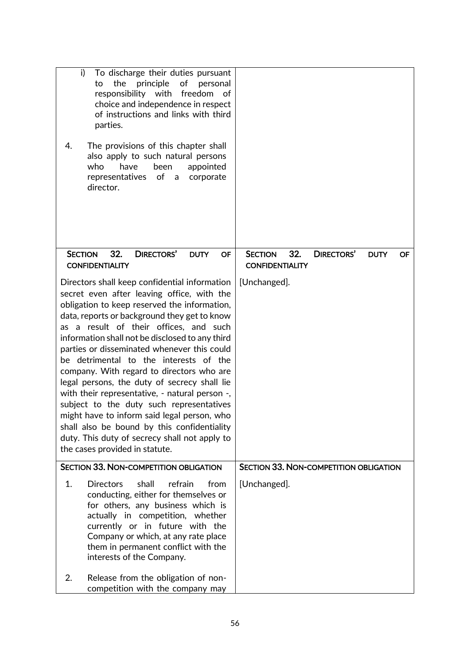| i)<br>To discharge their duties pursuant<br>the<br>principle<br>of<br>to<br>personal<br>responsibility with freedom<br>of<br>choice and independence in respect<br>of instructions and links with third<br>parties.                                                                                                                                                                                                                                                                                                                                                                                                                                                                                                                                           |                                                                                           |
|---------------------------------------------------------------------------------------------------------------------------------------------------------------------------------------------------------------------------------------------------------------------------------------------------------------------------------------------------------------------------------------------------------------------------------------------------------------------------------------------------------------------------------------------------------------------------------------------------------------------------------------------------------------------------------------------------------------------------------------------------------------|-------------------------------------------------------------------------------------------|
| 4.<br>The provisions of this chapter shall<br>also apply to such natural persons<br>have<br>who<br>been<br>appointed<br>representatives of a<br>corporate<br>director.                                                                                                                                                                                                                                                                                                                                                                                                                                                                                                                                                                                        |                                                                                           |
| 32.<br><b>DIRECTORS'</b><br><b>SECTION</b><br><b>DUTY</b><br><b>OF</b><br><b>CONFIDENTIALITY</b>                                                                                                                                                                                                                                                                                                                                                                                                                                                                                                                                                                                                                                                              | <b>SECTION</b><br>32.<br><b>DIRECTORS'</b><br><b>DUTY</b><br>OF<br><b>CONFIDENTIALITY</b> |
| Directors shall keep confidential information<br>secret even after leaving office, with the<br>obligation to keep reserved the information,<br>data, reports or background they get to know<br>as a result of their offices, and such<br>information shall not be disclosed to any third<br>parties or disseminated whenever this could<br>be detrimental to the interests of the<br>company. With regard to directors who are<br>legal persons, the duty of secrecy shall lie<br>with their representative, - natural person -,<br>subject to the duty such representatives<br>might have to inform said legal person, who<br>shall also be bound by this confidentiality<br>duty. This duty of secrecy shall not apply to<br>the cases provided in statute. | [Unchanged].                                                                              |
| <b>SECTION 33. NON-COMPETITION OBLIGATION</b>                                                                                                                                                                                                                                                                                                                                                                                                                                                                                                                                                                                                                                                                                                                 | <b>SECTION 33. NON-COMPETITION OBLIGATION</b>                                             |
| 1.<br><b>Directors</b><br>shall<br>refrain<br>from<br>conducting, either for themselves or<br>for others, any business which is<br>actually in competition, whether<br>currently or in future with the<br>Company or which, at any rate place<br>them in permanent conflict with the<br>interests of the Company.                                                                                                                                                                                                                                                                                                                                                                                                                                             | [Unchanged].                                                                              |
| Release from the obligation of non-<br>2.<br>competition with the company may                                                                                                                                                                                                                                                                                                                                                                                                                                                                                                                                                                                                                                                                                 |                                                                                           |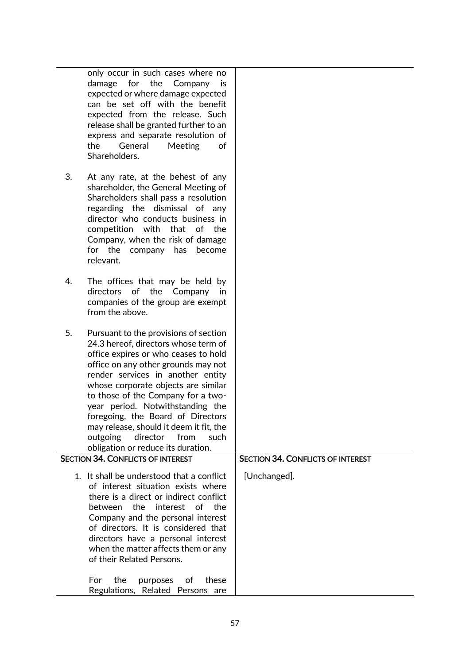|    | only occur in such cases where no                                              |                                          |
|----|--------------------------------------------------------------------------------|------------------------------------------|
|    | damage for the Company is                                                      |                                          |
|    | expected or where damage expected                                              |                                          |
|    | can be set off with the benefit                                                |                                          |
|    | expected from the release. Such                                                |                                          |
|    |                                                                                |                                          |
|    | release shall be granted further to an                                         |                                          |
|    | express and separate resolution of                                             |                                          |
|    | the<br>General<br>Meeting<br>of                                                |                                          |
|    | Shareholders.                                                                  |                                          |
|    |                                                                                |                                          |
| 3. | At any rate, at the behest of any                                              |                                          |
|    | shareholder, the General Meeting of                                            |                                          |
|    | Shareholders shall pass a resolution                                           |                                          |
|    | regarding the dismissal of any                                                 |                                          |
|    | director who conducts business in                                              |                                          |
|    | competition with that<br>of the                                                |                                          |
|    | Company, when the risk of damage                                               |                                          |
|    | for the company has<br>become                                                  |                                          |
|    | relevant.                                                                      |                                          |
|    |                                                                                |                                          |
| 4. | The offices that may be held by                                                |                                          |
|    | directors of the Company<br>in                                                 |                                          |
|    | companies of the group are exempt                                              |                                          |
|    | from the above.                                                                |                                          |
|    |                                                                                |                                          |
| 5. | Pursuant to the provisions of section                                          |                                          |
|    | 24.3 hereof, directors whose term of                                           |                                          |
|    | office expires or who ceases to hold                                           |                                          |
|    | office on any other grounds may not                                            |                                          |
|    | render services in another entity                                              |                                          |
|    | whose corporate objects are similar                                            |                                          |
|    | to those of the Company for a two-                                             |                                          |
|    | year period. Notwithstanding the                                               |                                          |
|    |                                                                                |                                          |
|    | foregoing, the Board of Directors                                              |                                          |
|    | may release, should it deem it fit, the                                        |                                          |
|    | outgoing<br>from<br>director<br>such                                           |                                          |
|    | obligation or reduce its duration.<br><b>SECTION 34. CONFLICTS OF INTEREST</b> |                                          |
|    |                                                                                | <b>SECTION 34. CONFLICTS OF INTEREST</b> |
|    | 1. It shall be understood that a conflict                                      | [Unchanged].                             |
|    | of interest situation exists where                                             |                                          |
|    | there is a direct or indirect conflict                                         |                                          |
|    | interest<br>the<br>of<br>the<br><b>between</b>                                 |                                          |
|    | Company and the personal interest                                              |                                          |
|    | of directors. It is considered that                                            |                                          |
|    | directors have a personal interest                                             |                                          |
|    | when the matter affects them or any                                            |                                          |
|    | of their Related Persons.                                                      |                                          |
|    |                                                                                |                                          |
|    | the<br>For<br>purposes<br>of<br>these                                          |                                          |
|    | Regulations,<br>Related Persons are                                            |                                          |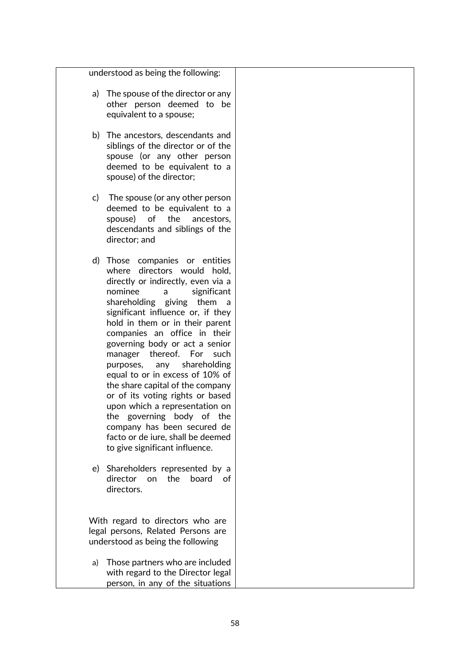understood as being the following:

- a) The spouse of the director or any other person deemed to be equivalent to a spouse;
- b) The ancestors, descendants and siblings of the director or of the spouse (or any other person deemed to be equivalent to a spouse) of the director;
- c) The spouse (or any other person deemed to be equivalent to a spouse) of the ancestors, descendants and siblings of the director; and
- d) Those companies or entities where directors would hold, directly or indirectly, even via a nominee a significant shareholding giving them a significant influence or, if they hold in them or in their parent companies an office in their governing body or act a senior manager thereof. For such purposes, any shareholding equal to or in excess of 10% of the share capital of the company or of its voting rights or based upon which a representation on the governing body of the company has been secured de facto or de iure, shall be deemed to give significant influence.
- e) Shareholders represented by a director on the board of directors.

With regard to directors who are legal persons, Related Persons are understood as being the following

a) Those partners who are included with regard to the Director legal person, in any of the situations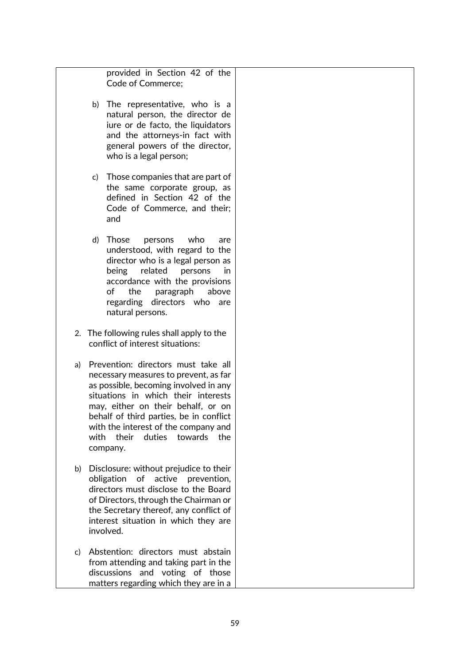provided in Section 42 of the Code of Commerce;

- b) The representative, who is a natural person, the director de iure or de facto, the liquidators and the attorneys-in fact with general powers of the director, who is a legal person;
- c) Those companies that are part of the same corporate group, as defined in Section 42 of the Code of Commerce, and their; and
- d) Those persons who are understood, with regard to the director who is a legal person as being related persons in accordance with the provisions of the paragraph above regarding directors who are natural persons.
- 2. The following rules shall apply to the conflict of interest situations:
- a) Prevention: directors must take all necessary measures to prevent, as far as possible, becoming involved in any situations in which their interests may, either on their behalf, or on behalf of third parties, be in conflict with the interest of the company and with their duties towards the company.
- b) Disclosure: without prejudice to their obligation of active prevention, directors must disclose to the Board of Directors, through the Chairman or the Secretary thereof, any conflict of interest situation in which they are involved.
- c) Abstention: directors must abstain from attending and taking part in the discussions and voting of those matters regarding which they are in a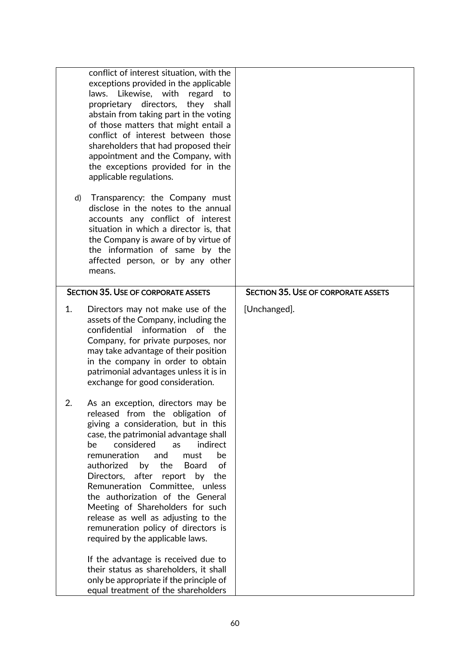|    | conflict of interest situation, with the<br>exceptions provided in the applicable<br>Likewise, with<br>laws.<br>regard<br>to<br>proprietary<br>directors,<br>they<br>shall<br>abstain from taking part in the voting<br>of those matters that might entail a<br>conflict of interest between those<br>shareholders that had proposed their<br>appointment and the Company, with<br>the exceptions provided for in the<br>applicable regulations.                                                                                                                                                                                                                                                                           |                                            |
|----|----------------------------------------------------------------------------------------------------------------------------------------------------------------------------------------------------------------------------------------------------------------------------------------------------------------------------------------------------------------------------------------------------------------------------------------------------------------------------------------------------------------------------------------------------------------------------------------------------------------------------------------------------------------------------------------------------------------------------|--------------------------------------------|
| d) | Transparency: the Company must<br>disclose in the notes to the annual<br>accounts any conflict of interest<br>situation in which a director is, that<br>the Company is aware of by virtue of<br>the information of same by the<br>affected person, or by any other<br>means.                                                                                                                                                                                                                                                                                                                                                                                                                                               |                                            |
|    | <b>SECTION 35. USE OF CORPORATE ASSETS</b>                                                                                                                                                                                                                                                                                                                                                                                                                                                                                                                                                                                                                                                                                 | <b>SECTION 35. USE OF CORPORATE ASSETS</b> |
| 1. | Directors may not make use of the<br>assets of the Company, including the<br>confidential<br>information of the<br>Company, for private purposes, nor<br>may take advantage of their position<br>in the company in order to obtain<br>patrimonial advantages unless it is in<br>exchange for good consideration.                                                                                                                                                                                                                                                                                                                                                                                                           | [Unchanged].                               |
| 2. | As an exception, directors may be<br>released from the obligation of<br>giving a consideration, but in this<br>case, the patrimonial advantage shall<br>considered<br>indirect<br>as<br>be<br>remuneration<br>be<br>and<br>must<br>authorized<br>by<br>the<br><b>Board</b><br>of<br>after<br>Directors,<br>report by<br>the<br>Remuneration Committee, unless<br>the authorization of the General<br>Meeting of Shareholders for such<br>release as well as adjusting to the<br>remuneration policy of directors is<br>required by the applicable laws.<br>If the advantage is received due to<br>their status as shareholders, it shall<br>only be appropriate if the principle of<br>equal treatment of the shareholders |                                            |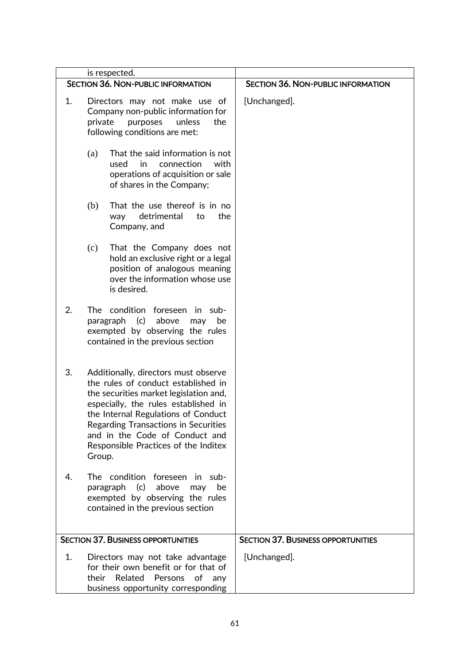| is respected.                                                                                                                                                 |                                                                                                                                                                                                                                                                                                                                  |                                           |
|---------------------------------------------------------------------------------------------------------------------------------------------------------------|----------------------------------------------------------------------------------------------------------------------------------------------------------------------------------------------------------------------------------------------------------------------------------------------------------------------------------|-------------------------------------------|
|                                                                                                                                                               | <b>SECTION 36. NON-PUBLIC INFORMATION</b>                                                                                                                                                                                                                                                                                        | <b>SECTION 36. NON-PUBLIC INFORMATION</b> |
| 1.                                                                                                                                                            | Directors may not make use of<br>Company non-public information for<br>private<br>unless<br>the<br>purposes<br>following conditions are met:                                                                                                                                                                                     | [Unchanged].                              |
|                                                                                                                                                               | That the said information is not<br>(a)<br>used<br>in<br>connection<br>with<br>operations of acquisition or sale<br>of shares in the Company;                                                                                                                                                                                    |                                           |
|                                                                                                                                                               | That the use thereof is in no<br>(b)<br>detrimental<br>to<br>the<br>way<br>Company, and                                                                                                                                                                                                                                          |                                           |
|                                                                                                                                                               | (c)<br>That the Company does not<br>hold an exclusive right or a legal<br>position of analogous meaning<br>over the information whose use<br>is desired.                                                                                                                                                                         |                                           |
| 2.                                                                                                                                                            | The condition<br>-foreseen in sub<br>(c)<br>above<br>paragraph<br>be<br>may<br>exempted by observing the rules<br>contained in the previous section                                                                                                                                                                              |                                           |
| 3.                                                                                                                                                            | Additionally, directors must observe<br>the rules of conduct established in<br>the securities market legislation and,<br>especially, the rules established in<br>the Internal Regulations of Conduct<br>Regarding Transactions in Securities<br>and in the Code of Conduct and<br>Responsible Practices of the Inditex<br>Group. |                                           |
| 4.                                                                                                                                                            | The condition foreseen in sub-<br>(c)<br>above<br>paragraph<br>be<br>may<br>exempted by observing the rules<br>contained in the previous section                                                                                                                                                                                 |                                           |
|                                                                                                                                                               | <b>SECTION 37. BUSINESS OPPORTUNITIES</b>                                                                                                                                                                                                                                                                                        | <b>SECTION 37. BUSINESS OPPORTUNITIES</b> |
| 1.<br>Directors may not take advantage<br>for their own benefit or for that of<br>their Related<br>Persons<br>of<br>any<br>business opportunity corresponding |                                                                                                                                                                                                                                                                                                                                  | [Unchanged].                              |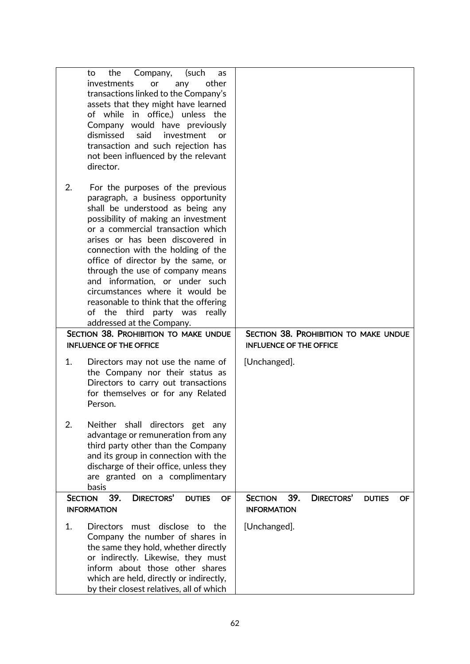|    | Company,<br>(such<br>the<br>to<br>as<br>other<br>investments<br>or<br>any<br>transactions linked to the Company's<br>assets that they might have learned<br>of while in office,) unless the<br>Company would have previously<br>said<br>dismissed<br>investment<br>or<br>transaction and such rejection has<br>not been influenced by the relevant                                                                                                                                                                                                                                   |                                                                                                |
|----|--------------------------------------------------------------------------------------------------------------------------------------------------------------------------------------------------------------------------------------------------------------------------------------------------------------------------------------------------------------------------------------------------------------------------------------------------------------------------------------------------------------------------------------------------------------------------------------|------------------------------------------------------------------------------------------------|
| 2. | director.<br>For the purposes of the previous<br>paragraph, a business opportunity<br>shall be understood as being any<br>possibility of making an investment<br>or a commercial transaction which<br>arises or has been discovered in<br>connection with the holding of the<br>office of director by the same, or<br>through the use of company means<br>and information, or under such<br>circumstances where it would be<br>reasonable to think that the offering<br>third<br>party was<br>of the<br>really<br>addressed at the Company.<br>SECTION 38. PROHIBITION TO MAKE UNDUE | SECTION 38. PROHIBITION TO MAKE UNDUE                                                          |
|    | <b>INFLUENCE OF THE OFFICE</b>                                                                                                                                                                                                                                                                                                                                                                                                                                                                                                                                                       | <b>INFLUENCE OF THE OFFICE</b>                                                                 |
| 1. | Directors may not use the name of<br>the Company nor their status as<br>Directors to carry out transactions<br>for themselves or for any Related<br>Person.                                                                                                                                                                                                                                                                                                                                                                                                                          | [Unchanged].                                                                                   |
| 2. | shall<br>directors get<br>Neither<br>any<br>advantage or remuneration from any<br>third party other than the Company<br>and its group in connection with the<br>discharge of their office, unless they<br>are granted on a complimentary<br>basis                                                                                                                                                                                                                                                                                                                                    |                                                                                                |
|    | 39.<br><b>DIRECTORS'</b><br><b>SECTION</b><br><b>DUTIES</b><br>OF<br><b>INFORMATION</b>                                                                                                                                                                                                                                                                                                                                                                                                                                                                                              | 39.<br><b>DIRECTORS'</b><br><b>SECTION</b><br><b>DUTIES</b><br><b>OF</b><br><b>INFORMATION</b> |
| 1. | Directors must disclose to the<br>Company the number of shares in<br>the same they hold, whether directly<br>or indirectly. Likewise, they must<br>inform about those other shares<br>which are held, directly or indirectly,<br>by their closest relatives, all of which                                                                                                                                                                                                                                                                                                            | [Unchanged].                                                                                   |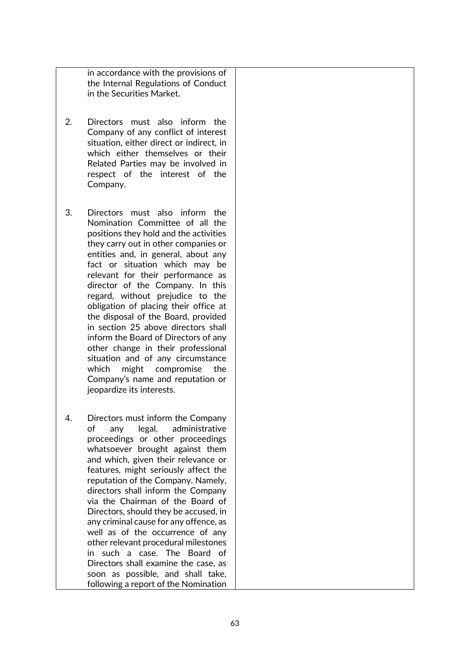in accordance with the provisions of the Internal Regulations of Conduct in the Securities Market.

- 2. Directors must also inform the Company of any conflict of interest situation, either direct or indirect, in which either themselves or their Related Parties may be involved in respect of the interest of the Company.
- 3. Directors must also inform the Nomination Committee of all the positions they hold and the activities they carry out in other companies or entities and, in general, about any fact or situation which may be relevant for their performance as director of the Company. In this regard, without prejudice to the obligation of placing their office at the disposal of the Board, provided in section 25 above directors shall inform the Board of Directors of any other change in their professional situation and of any circumstance which might compromise the Company's name and reputation or jeopardize its interests.
- 4. Directors must inform the Company of any legal, administrative proceedings or other proceedings whatsoever brought against them and which, given their relevance or features, might seriously affect the reputation of the Company. Namely, directors shall inform the Company via the Chairman of the Board of Directors, should they be accused, in any criminal cause for any offence, as well as of the occurrence of any other relevant procedural milestones in such a case. The Board of Directors shall examine the case, as soon as possible, and shall take, following a report of the Nomination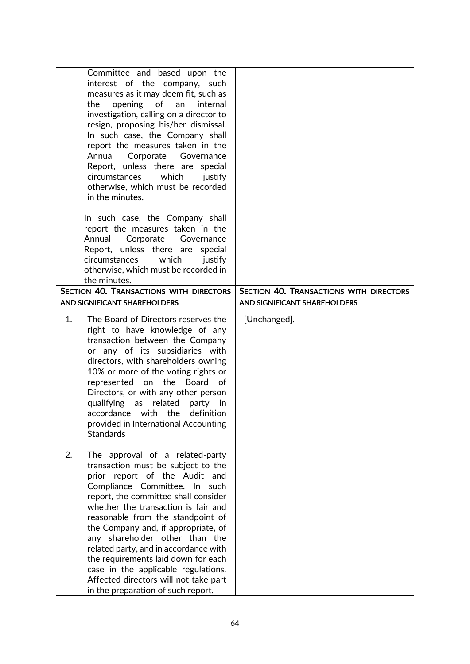| Committee and based upon the<br>interest of the company, such<br>measures as it may deem fit, such as<br>opening<br>of<br>the<br>internal<br>an<br>investigation, calling on a director to<br>resign, proposing his/her dismissal.<br>In such case, the Company shall<br>report the measures taken in the<br>Annual<br>Corporate<br>Governance<br>Report, unless there are<br>special<br>which<br>circumstances<br>justify<br>otherwise, which must be recorded<br>in the minutes.                                                               |                                                                         |
|--------------------------------------------------------------------------------------------------------------------------------------------------------------------------------------------------------------------------------------------------------------------------------------------------------------------------------------------------------------------------------------------------------------------------------------------------------------------------------------------------------------------------------------------------|-------------------------------------------------------------------------|
| In such case, the Company shall<br>report the measures taken in the<br>Annual<br>Corporate<br>Governance<br>Report, unless there are special<br>which<br>circumstances<br>justify<br>otherwise, which must be recorded in<br>the minutes.                                                                                                                                                                                                                                                                                                        |                                                                         |
| SECTION 40. TRANSACTIONS WITH DIRECTORS<br>AND SIGNIFICANT SHAREHOLDERS                                                                                                                                                                                                                                                                                                                                                                                                                                                                          | SECTION 40. TRANSACTIONS WITH DIRECTORS<br>AND SIGNIFICANT SHAREHOLDERS |
| 1.<br>The Board of Directors reserves the<br>right to have knowledge of any<br>transaction between the Company<br>or any of its subsidiaries with<br>directors, with shareholders owning<br>10% or more of the voting rights or<br>represented on the Board<br>of<br>Directors, or with any other person<br>qualifying<br>related<br>as<br>party<br>in<br>accordance with the<br>definition<br>provided in International Accounting<br><b>Standards</b>                                                                                          | [Unchanged].                                                            |
| 2.<br>The approval of a related-party<br>transaction must be subject to the<br>prior report of the Audit and<br>Compliance Committee. In such<br>report, the committee shall consider<br>whether the transaction is fair and<br>reasonable from the standpoint of<br>the Company and, if appropriate, of<br>any shareholder other than the<br>related party, and in accordance with<br>the requirements laid down for each<br>case in the applicable regulations.<br>Affected directors will not take part<br>in the preparation of such report. |                                                                         |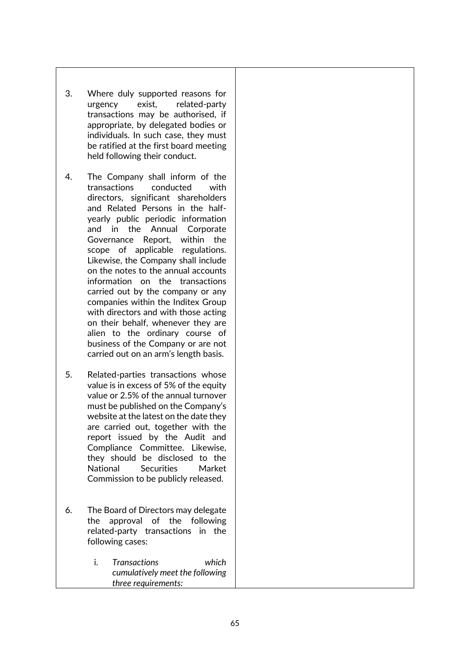- 3. Where duly supported reasons for urgency exist, related-party transactions may be authorised, if appropriate, by delegated bodies or individuals. In such case, they must be ratified at the first board meeting held following their conduct.
- 4. The Company shall inform of the transactions conducted with directors, significant shareholders and Related Persons in the halfyearly public periodic information and in the Annual Corporate Governance Report, within the scope of applicable regulations. Likewise, the Company shall include on the notes to the annual accounts information on the transactions carried out by the company or any companies within the Inditex Group with directors and with those acting on their behalf, whenever they are alien to the ordinary course of business of the Company or are not carried out on an arm's length basis.
- 5. Related-parties transactions whose value is in excess of 5% of the equity value or 2.5% of the annual turnover must be published on the Company's website at the latest on the date they are carried out, together with the report issued by the Audit and Compliance Committee. Likewise, they should be disclosed to the National Securities Market Commission to be publicly released.
- 6. The Board of Directors may delegate the approval of the following related-party transactions in the following cases:
	- i. *Transactions which cumulatively meet the following three requirements:*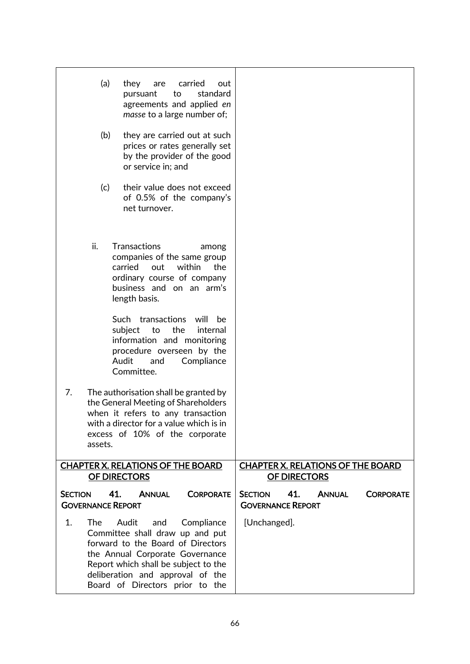|                | (a)     | they<br>carried<br>are<br>out<br>standard<br>to<br>pursuant<br>agreements and applied en<br>masse to a large number of;                                                                                                                              |                                                                                        |
|----------------|---------|------------------------------------------------------------------------------------------------------------------------------------------------------------------------------------------------------------------------------------------------------|----------------------------------------------------------------------------------------|
|                | (b)     | they are carried out at such<br>prices or rates generally set<br>by the provider of the good<br>or service in; and                                                                                                                                   |                                                                                        |
|                | (c)     | their value does not exceed<br>of 0.5% of the company's<br>net turnover.                                                                                                                                                                             |                                                                                        |
|                | ii.     | <b>Transactions</b><br>among<br>companies of the same group<br>out<br>within<br>carried<br>the<br>ordinary course of company<br>business and on an arm's<br>length basis.                                                                            |                                                                                        |
|                |         | Such transactions<br>will<br>be<br>the<br>subject<br>to<br>internal<br>information and monitoring<br>procedure overseen by the<br>Audit<br>and<br>Compliance<br>Committee.                                                                           |                                                                                        |
| 7.             | assets. | The authorisation shall be granted by<br>the General Meeting of Shareholders<br>when it refers to any transaction<br>with a director for a value which is in<br>excess of 10% of the corporate                                                       |                                                                                        |
|                |         | <b>CHAPTER X. RELATIONS OF THE BOARD</b><br><b>OF DIRECTORS</b>                                                                                                                                                                                      | <b>CHAPTER X. RELATIONS OF THE BOARD</b><br><b>OF DIRECTORS</b>                        |
| <b>SECTION</b> |         | 41.<br><b>ANNUAL</b><br><b>CORPORATE</b><br><b>GOVERNANCE REPORT</b>                                                                                                                                                                                 | <b>SECTION</b><br>41.<br><b>ANNUAL</b><br><b>CORPORATE</b><br><b>GOVERNANCE REPORT</b> |
| 1.             | The     | Audit<br>Compliance<br>and<br>Committee shall draw up and put<br>forward to the Board of Directors<br>the Annual Corporate Governance<br>Report which shall be subject to the<br>deliberation and approval of the<br>Board of Directors prior to the | [Unchanged].                                                                           |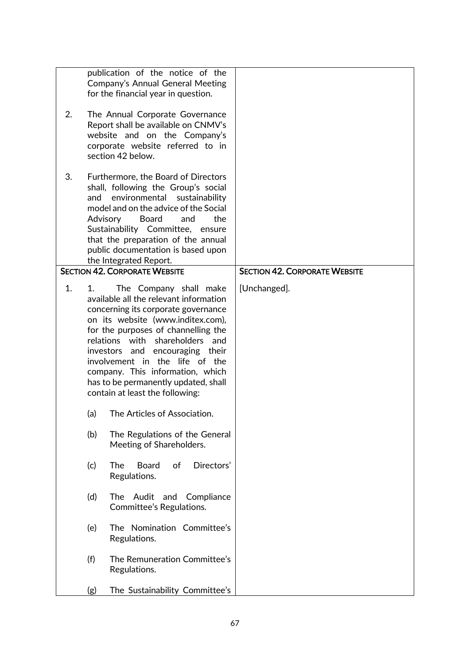| 2. |     | publication of the notice of the<br>Company's Annual General Meeting<br>for the financial year in question.<br>The Annual Corporate Governance<br>Report shall be available on CNMV's<br>website and on the Company's<br>corporate website referred to in<br>section 42 below.                                                                                                                                      |                                      |
|----|-----|---------------------------------------------------------------------------------------------------------------------------------------------------------------------------------------------------------------------------------------------------------------------------------------------------------------------------------------------------------------------------------------------------------------------|--------------------------------------|
| 3. | and | Furthermore, the Board of Directors<br>shall, following the Group's social<br>environmental<br>sustainability<br>model and on the advice of the Social<br>Advisory<br><b>Board</b><br>the<br>and<br>Sustainability Committee,<br>ensure<br>that the preparation of the annual<br>public documentation is based upon<br>the Integrated Report.                                                                       |                                      |
|    |     | <b>SECTION 42. CORPORATE WEBSITE</b>                                                                                                                                                                                                                                                                                                                                                                                | <b>SECTION 42. CORPORATE WEBSITE</b> |
| 1. | 1.  | The Company shall make<br>available all the relevant information<br>concerning its corporate governance<br>on its website (www.inditex.com),<br>for the purposes of channelling the<br>relations with<br>shareholders<br>and<br>encouraging their<br>investors and<br>involvement in the life of the<br>company. This information, which<br>has to be permanently updated, shall<br>contain at least the following: | [Unchanged].                         |
|    | (a) | The Articles of Association.                                                                                                                                                                                                                                                                                                                                                                                        |                                      |
|    | (b) | The Regulations of the General<br>Meeting of Shareholders.                                                                                                                                                                                                                                                                                                                                                          |                                      |
|    | (c) | Directors'<br>of<br>The<br><b>Board</b><br>Regulations.                                                                                                                                                                                                                                                                                                                                                             |                                      |
|    | (d) | Audit<br>The<br>and<br>Compliance<br>Committee's Regulations.                                                                                                                                                                                                                                                                                                                                                       |                                      |
|    | (e) | The Nomination Committee's<br>Regulations.                                                                                                                                                                                                                                                                                                                                                                          |                                      |
|    | (f) | The Remuneration Committee's<br>Regulations.                                                                                                                                                                                                                                                                                                                                                                        |                                      |
|    | (g) | The Sustainability Committee's                                                                                                                                                                                                                                                                                                                                                                                      |                                      |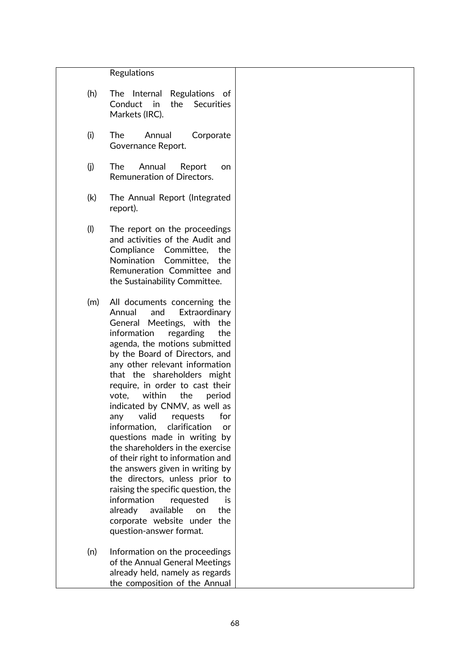## Regulations

| (h) |                |  | The Internal Regulations of |  |
|-----|----------------|--|-----------------------------|--|
|     |                |  | Conduct in the Securities   |  |
|     | Markets (IRC). |  |                             |  |

- (i) The Annual Corporate Governance Report.
- (j) The Annual Report on Remuneration of Directors.
- (k) The Annual Report (Integrated report).
- (l) The report on the proceedings and activities of the Audit and Compliance Committee, the Nomination Committee, the Remuneration Committee and the Sustainability Committee.
- (m) All documents concerning the Annual and Extraordinary General Meetings, with the information regarding the agenda, the motions submitted by the Board of Directors, and any other relevant information that the shareholders might require, in order to cast their vote, within the period indicated by CNMV, as well as any valid requests for information, clarification or questions made in writing by the shareholders in the exercise of their right to information and the answers given in writing by the directors, unless prior to raising the specific question, the information requested is already available on the corporate website under the question-answer format.
- (n) Information on the proceedings of the Annual General Meetings already held, namely as regards the composition of the Annual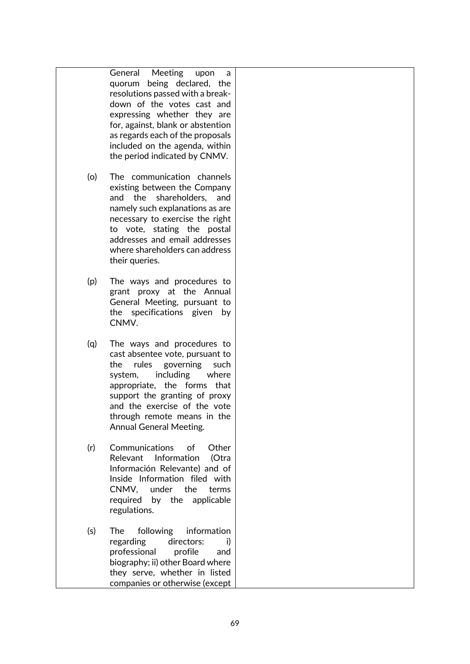|     | Meeting<br>General<br>upon<br>a<br>quorum being declared, the<br>resolutions passed with a break-<br>down of the votes cast and<br>expressing whether they are<br>for, against, blank or abstention<br>as regards each of the proposals<br>included on the agenda, within<br>the period indicated by CNMV. |  |
|-----|------------------------------------------------------------------------------------------------------------------------------------------------------------------------------------------------------------------------------------------------------------------------------------------------------------|--|
| (o) | The communication channels<br>existing between the Company<br>shareholders, and<br>and the<br>namely such explanations as are<br>necessary to exercise the right<br>to vote, stating the postal<br>addresses and email addresses<br>where shareholders can address<br>their queries.                       |  |
| (p) | The ways and procedures to<br>grant proxy at the Annual<br>General Meeting, pursuant to<br>the specifications given by<br>CNMV.                                                                                                                                                                            |  |
| (q) | The ways and procedures to<br>cast absentee vote, pursuant to<br>the<br>rules governing<br>such<br>including<br>where<br>system,<br>appropriate, the forms that<br>support the granting of proxy<br>and the exercise of the vote<br>through remote means in the<br><b>Annual General Meeting.</b>          |  |
| (r) | Communications<br>of<br>Other<br>Relevant Information<br>(Otra<br>Información Relevante) and of<br>Inside Information filed with<br>CNMV, under the<br>terms<br>required by the applicable<br>regulations.                                                                                                 |  |
| (s) | following information<br><b>The</b><br>directors:<br>regarding<br>i)<br>professional<br>profile<br>and<br>biography; ii) other Board where<br>they serve, whether in listed<br>companies or otherwise (except                                                                                              |  |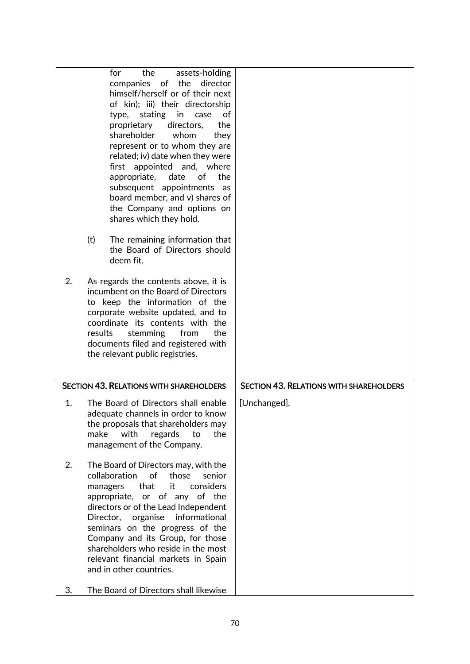|          | for<br>the<br>assets-holding<br>companies of the director<br>himself/herself or of their next<br>of kin); iii) their directorship<br>stating<br>in<br>case<br>of<br>type,<br>directors,<br>proprietary<br>the<br>shareholder<br>whom<br>they<br>represent or to whom they are<br>related; iv) date when they were<br>first appointed and, where<br>appropriate, date<br>οf<br>the<br>subsequent appointments<br>as<br>board member, and v) shares of              |                                                |
|----------|-------------------------------------------------------------------------------------------------------------------------------------------------------------------------------------------------------------------------------------------------------------------------------------------------------------------------------------------------------------------------------------------------------------------------------------------------------------------|------------------------------------------------|
|          | the Company and options on<br>shares which they hold.<br>(t)<br>The remaining information that<br>the Board of Directors should<br>deem fit.                                                                                                                                                                                                                                                                                                                      |                                                |
| 2.       | As regards the contents above, it is<br>incumbent on the Board of Directors<br>to keep the information of the<br>corporate website updated, and to<br>coordinate its contents with the<br>results<br>stemming<br>the<br>from<br>documents filed and registered with<br>the relevant public registries.                                                                                                                                                            |                                                |
|          | <b>SECTION 43. RELATIONS WITH SHAREHOLDERS</b>                                                                                                                                                                                                                                                                                                                                                                                                                    | <b>SECTION 43. RELATIONS WITH SHAREHOLDERS</b> |
| 1.       | The Board of Directors shall enable<br>adequate channels in order to know<br>the proposals that shareholders may<br>with<br>make<br>regards<br>the<br>to<br>management of the Company.                                                                                                                                                                                                                                                                            | [Unchanged].                                   |
| 2.<br>3. | The Board of Directors may, with the<br>of<br>collaboration<br>those<br>senior<br>that<br>it<br>considers<br>managers<br>appropriate, or of any of the<br>directors or of the Lead Independent<br>organise<br>informational<br>Director,<br>seminars on the progress of the<br>Company and its Group, for those<br>shareholders who reside in the most<br>relevant financial markets in Spain<br>and in other countries.<br>The Board of Directors shall likewise |                                                |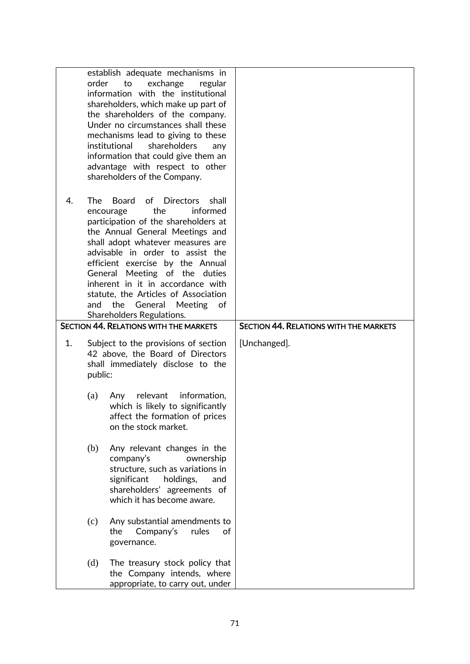|    | order                                                                                                                                                              | establish adequate mechanisms in<br>to<br>exchange<br>regular<br>information with the institutional<br>shareholders, which make up part of<br>the shareholders of the company.<br>Under no circumstances shall these<br>mechanisms lead to giving to these<br>institutional<br>shareholders<br>any<br>information that could give them an<br>advantage with respect to other<br>shareholders of the Company.                                        |                                               |
|----|--------------------------------------------------------------------------------------------------------------------------------------------------------------------|-----------------------------------------------------------------------------------------------------------------------------------------------------------------------------------------------------------------------------------------------------------------------------------------------------------------------------------------------------------------------------------------------------------------------------------------------------|-----------------------------------------------|
| 4. | The<br>and                                                                                                                                                         | <b>Board</b><br>of Directors<br>shall<br>the<br>informed<br>encourage<br>participation of the shareholders at<br>the Annual General Meetings and<br>shall adopt whatever measures are<br>advisable in order to assist the<br>efficient exercise by the Annual<br>General Meeting of the duties<br>inherent in it in accordance with<br>statute, the Articles of Association<br>the<br>General<br>Meeting<br>.of<br><b>Shareholders Regulations.</b> |                                               |
|    |                                                                                                                                                                    | <b>SECTION 44. RELATIONS WITH THE MARKETS</b>                                                                                                                                                                                                                                                                                                                                                                                                       | <b>SECTION 44. RELATIONS WITH THE MARKETS</b> |
| 1. | Subject to the provisions of section<br>42 above, the Board of Directors<br>shall immediately disclose to the<br>public:<br>relevant<br>information,<br>(a)<br>Any |                                                                                                                                                                                                                                                                                                                                                                                                                                                     | [Unchanged].                                  |
|    |                                                                                                                                                                    | which is likely to significantly<br>affect the formation of prices<br>on the stock market.                                                                                                                                                                                                                                                                                                                                                          |                                               |
|    | (b)                                                                                                                                                                | Any relevant changes in the<br>company's<br>ownership<br>structure, such as variations in<br>significant<br>holdings,<br>and<br>shareholders' agreements of<br>which it has become aware.                                                                                                                                                                                                                                                           |                                               |
|    | (c)                                                                                                                                                                | Any substantial amendments to<br>Company's<br>the<br>rules<br>of<br>governance.                                                                                                                                                                                                                                                                                                                                                                     |                                               |
|    | (d)                                                                                                                                                                | The treasury stock policy that<br>the Company intends, where<br>appropriate, to carry out, under                                                                                                                                                                                                                                                                                                                                                    |                                               |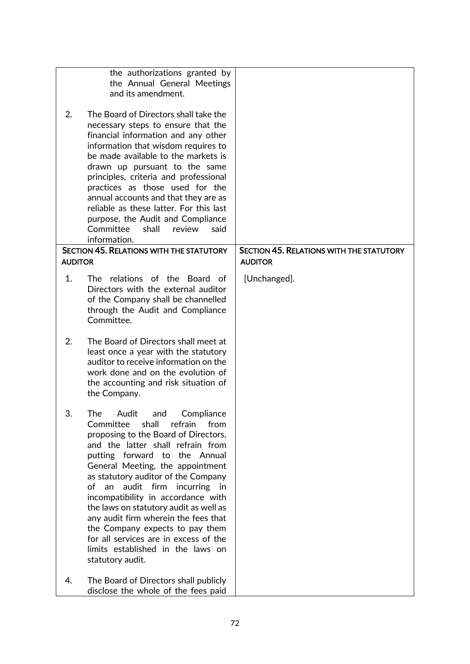|                | the authorizations granted by<br>the Annual General Meetings<br>and its amendment.                                                                                                                                                                                                                                                                                                                                                                                                                                                                                              |                                                                   |
|----------------|---------------------------------------------------------------------------------------------------------------------------------------------------------------------------------------------------------------------------------------------------------------------------------------------------------------------------------------------------------------------------------------------------------------------------------------------------------------------------------------------------------------------------------------------------------------------------------|-------------------------------------------------------------------|
| 2.             | The Board of Directors shall take the<br>necessary steps to ensure that the<br>financial information and any other<br>information that wisdom requires to<br>be made available to the markets is<br>drawn up pursuant to the same<br>principles, criteria and professional<br>practices as those used for the<br>annual accounts and that they are as<br>reliable as these latter. For this last<br>purpose, the Audit and Compliance<br>Committee<br>shall<br>review<br>said<br>information.                                                                                   |                                                                   |
| <b>AUDITOR</b> | <b>SECTION 45. RELATIONS WITH THE STATUTORY</b>                                                                                                                                                                                                                                                                                                                                                                                                                                                                                                                                 | <b>SECTION 45. RELATIONS WITH THE STATUTORY</b><br><b>AUDITOR</b> |
| 1.             | The relations of the Board of<br>Directors with the external auditor<br>of the Company shall be channelled<br>through the Audit and Compliance<br>Committee.                                                                                                                                                                                                                                                                                                                                                                                                                    | [Unchanged].                                                      |
| 2.             | The Board of Directors shall meet at<br>least once a year with the statutory<br>auditor to receive information on the<br>work done and on the evolution of<br>the accounting and risk situation of<br>the Company.                                                                                                                                                                                                                                                                                                                                                              |                                                                   |
| 3.             | The<br>Audit<br>Compliance<br>and<br>shall<br>Committee<br>refrain<br>from<br>proposing to the Board of Directors,<br>and the latter shall refrain from<br>putting forward<br>to the Annual<br>General Meeting, the appointment<br>as statutory auditor of the Company<br>of an<br>audit firm<br>incurring<br>in i<br>incompatibility in accordance with<br>the laws on statutory audit as well as<br>any audit firm wherein the fees that<br>the Company expects to pay them<br>for all services are in excess of the<br>limits established in the laws on<br>statutory audit. |                                                                   |
| 4.             | The Board of Directors shall publicly<br>disclose the whole of the fees paid                                                                                                                                                                                                                                                                                                                                                                                                                                                                                                    |                                                                   |